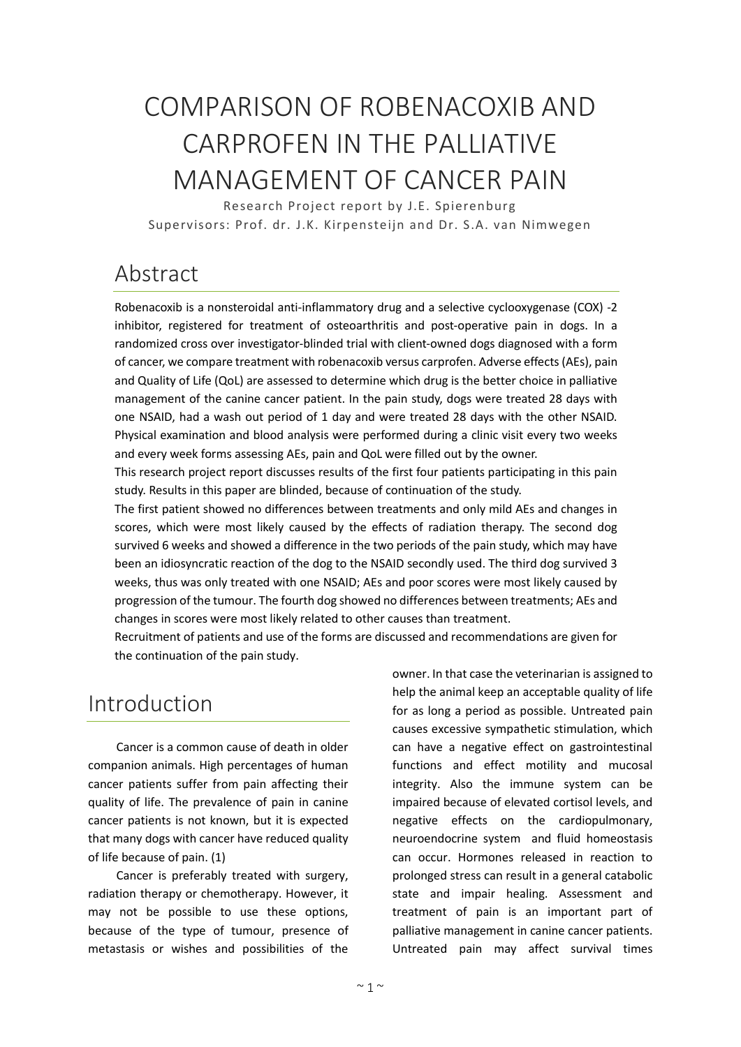# COMPARISON OF ROBENACOXIB AND CARPROFEN IN THE PALLIATIVE MANAGEMENT OF CANCER PAIN

Research Project report by J.E. Spierenburg Supervisors: Prof. dr. J.K. Kirpensteijn and Dr. S.A. van Nimwegen

# Abstract

Robenacoxib is a nonsteroidal anti-inflammatory drug and a selective cyclooxygenase (COX) -2 inhibitor, registered for treatment of osteoarthritis and post-operative pain in dogs. In a randomized cross over investigator-blinded trial with client-owned dogs diagnosed with a form of cancer, we compare treatment with robenacoxib versus carprofen. Adverse effects (AEs), pain and Quality of Life (QoL) are assessed to determine which drug is the better choice in palliative management of the canine cancer patient. In the pain study, dogs were treated 28 days with one NSAID, had a wash out period of 1 day and were treated 28 days with the other NSAID. Physical examination and blood analysis were performed during a clinic visit every two weeks and every week forms assessing AEs, pain and QoL were filled out by the owner.

This research project report discusses results of the first four patients participating in this pain study. Results in this paper are blinded, because of continuation of the study.

The first patient showed no differences between treatments and only mild AEs and changes in scores, which were most likely caused by the effects of radiation therapy. The second dog survived 6 weeks and showed a difference in the two periods of the pain study, which may have been an idiosyncratic reaction of the dog to the NSAID secondly used. The third dog survived 3 weeks, thus was only treated with one NSAID; AEs and poor scores were most likely caused by progression of the tumour. The fourth dog showed no differences between treatments; AEs and changes in scores were most likely related to other causes than treatment.

Recruitment of patients and use of the forms are discussed and recommendations are given for the continuation of the pain study.

# Introduction

Cancer is a common cause of death in older companion animals. High percentages of human cancer patients suffer from pain affecting their quality of life. The prevalence of pain in canine cancer patients is not known, but it is expected that many dogs with cancer have reduced quality of life because of pain. (1)

Cancer is preferably treated with surgery, radiation therapy or chemotherapy. However, it may not be possible to use these options, because of the type of tumour, presence of metastasis or wishes and possibilities of the

owner. In that case the veterinarian is assigned to help the animal keep an acceptable quality of life for as long a period as possible. Untreated pain causes excessive sympathetic stimulation, which can have a negative effect on gastrointestinal functions and effect motility and mucosal integrity. Also the immune system can be impaired because of elevated cortisol levels, and negative effects on the cardiopulmonary, neuroendocrine system and fluid homeostasis can occur. Hormones released in reaction to prolonged stress can result in a general catabolic state and impair healing. Assessment and treatment of pain is an important part of palliative management in canine cancer patients. Untreated pain may affect survival times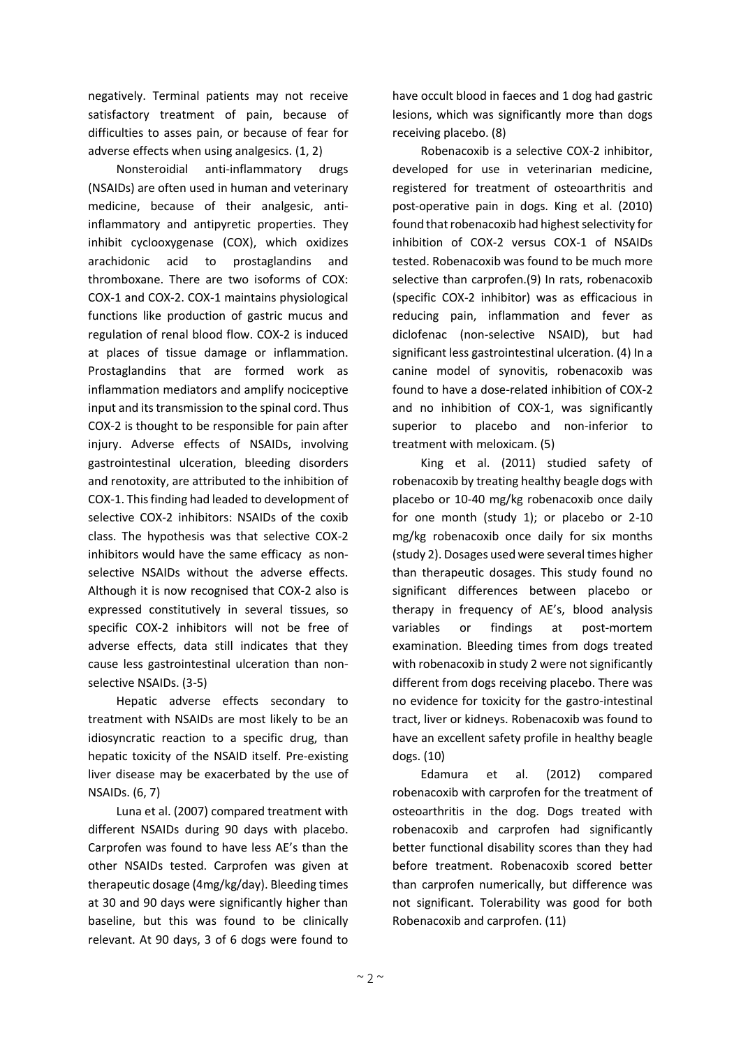negatively. Terminal patients may not receive satisfactory treatment of pain, because of difficulties to asses pain, or because of fear for adverse effects when using analgesics. (1, 2)

Nonsteroidial anti-inflammatory drugs (NSAIDs) are often used in human and veterinary medicine, because of their analgesic, antiinflammatory and antipyretic properties. They inhibit cyclooxygenase (COX), which oxidizes arachidonic acid to prostaglandins and thromboxane. There are two isoforms of COX: COX-1 and COX-2. COX-1 maintains physiological functions like production of gastric mucus and regulation of renal blood flow. COX-2 is induced at places of tissue damage or inflammation. Prostaglandins that are formed work as inflammation mediators and amplify nociceptive input and its transmission to the spinal cord. Thus COX-2 is thought to be responsible for pain after injury. Adverse effects of NSAIDs, involving gastrointestinal ulceration, bleeding disorders and renotoxity, are attributed to the inhibition of COX-1. This finding had leaded to development of selective COX-2 inhibitors: NSAIDs of the coxib class. The hypothesis was that selective COX-2 inhibitors would have the same efficacy as nonselective NSAIDs without the adverse effects. Although it is now recognised that COX-2 also is expressed constitutively in several tissues, so specific COX-2 inhibitors will not be free of adverse effects, data still indicates that they cause less gastrointestinal ulceration than nonselective NSAIDs. (3-5)

Hepatic adverse effects secondary to treatment with NSAIDs are most likely to be an idiosyncratic reaction to a specific drug, than hepatic toxicity of the NSAID itself. Pre-existing liver disease may be exacerbated by the use of NSAIDs. (6, 7)

Luna et al. (2007) compared treatment with different NSAIDs during 90 days with placebo. Carprofen was found to have less AE's than the other NSAIDs tested. Carprofen was given at therapeutic dosage (4mg/kg/day). Bleeding times at 30 and 90 days were significantly higher than baseline, but this was found to be clinically relevant. At 90 days, 3 of 6 dogs were found to

have occult blood in faeces and 1 dog had gastric lesions, which was significantly more than dogs receiving placebo. (8)

Robenacoxib is a selective COX-2 inhibitor, developed for use in veterinarian medicine, registered for treatment of osteoarthritis and post-operative pain in dogs. King et al. (2010) found that robenacoxib had highest selectivity for inhibition of COX-2 versus COX-1 of NSAIDs tested. Robenacoxib was found to be much more selective than carprofen.(9) In rats, robenacoxib (specific COX-2 inhibitor) was as efficacious in reducing pain, inflammation and fever as diclofenac (non-selective NSAID), but had significant less gastrointestinal ulceration. (4) In a canine model of synovitis, robenacoxib was found to have a dose-related inhibition of COX-2 and no inhibition of COX-1, was significantly superior to placebo and non-inferior to treatment with meloxicam. (5)

King et al. (2011) studied safety of robenacoxib by treating healthy beagle dogs with placebo or 10-40 mg/kg robenacoxib once daily for one month (study 1); or placebo or 2-10 mg/kg robenacoxib once daily for six months (study 2). Dosages used were several times higher than therapeutic dosages. This study found no significant differences between placebo or therapy in frequency of AE's, blood analysis variables or findings at post-mortem examination. Bleeding times from dogs treated with robenacoxib in study 2 were not significantly different from dogs receiving placebo. There was no evidence for toxicity for the gastro-intestinal tract, liver or kidneys. Robenacoxib was found to have an excellent safety profile in healthy beagle dogs. (10)

Edamura et al. (2012) compared robenacoxib with carprofen for the treatment of osteoarthritis in the dog. Dogs treated with robenacoxib and carprofen had significantly better functional disability scores than they had before treatment. Robenacoxib scored better than carprofen numerically, but difference was not significant. Tolerability was good for both Robenacoxib and carprofen. (11)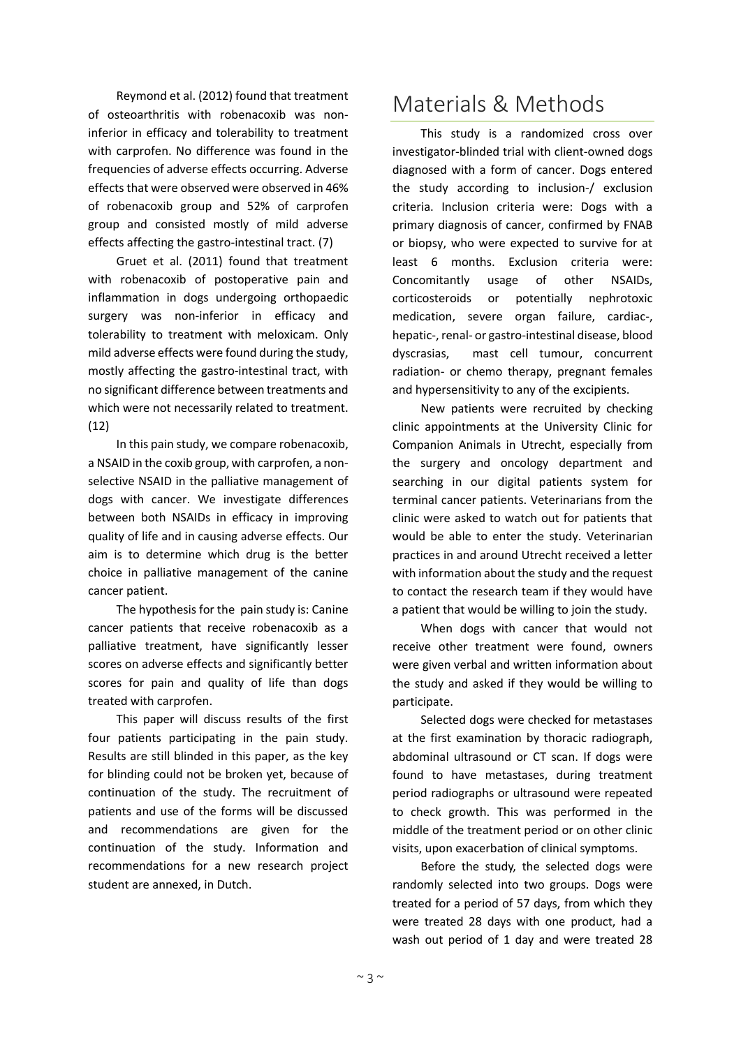Reymond et al. (2012) found that treatment of osteoarthritis with robenacoxib was noninferior in efficacy and tolerability to treatment with carprofen. No difference was found in the frequencies of adverse effects occurring. Adverse effects that were observed were observed in 46% of robenacoxib group and 52% of carprofen group and consisted mostly of mild adverse effects affecting the gastro-intestinal tract. (7)

Gruet et al. (2011) found that treatment with robenacoxib of postoperative pain and inflammation in dogs undergoing orthopaedic surgery was non-inferior in efficacy and tolerability to treatment with meloxicam. Only mild adverse effects were found during the study, mostly affecting the gastro-intestinal tract, with no significant difference between treatments and which were not necessarily related to treatment. (12)

In this pain study, we compare robenacoxib, a NSAID in the coxib group, with carprofen, a nonselective NSAID in the palliative management of dogs with cancer. We investigate differences between both NSAIDs in efficacy in improving quality of life and in causing adverse effects. Our aim is to determine which drug is the better choice in palliative management of the canine cancer patient.

The hypothesis for the pain study is: Canine cancer patients that receive robenacoxib as a palliative treatment, have significantly lesser scores on adverse effects and significantly better scores for pain and quality of life than dogs treated with carprofen.

This paper will discuss results of the first four patients participating in the pain study. Results are still blinded in this paper, as the key for blinding could not be broken yet, because of continuation of the study. The recruitment of patients and use of the forms will be discussed and recommendations are given for the continuation of the study. Information and recommendations for a new research project student are annexed, in Dutch.

# Materials & Methods

This study is a randomized cross over investigator-blinded trial with client-owned dogs diagnosed with a form of cancer. Dogs entered the study according to inclusion-/ exclusion criteria. Inclusion criteria were: Dogs with a primary diagnosis of cancer, confirmed by FNAB or biopsy, who were expected to survive for at least 6 months. Exclusion criteria were: Concomitantly usage of other NSAIDs, corticosteroids or potentially nephrotoxic medication, severe organ failure, cardiac-, hepatic-, renal- or gastro-intestinal disease, blood dyscrasias, mast cell tumour, concurrent radiation- or chemo therapy, pregnant females and hypersensitivity to any of the excipients.

New patients were recruited by checking clinic appointments at the University Clinic for Companion Animals in Utrecht, especially from the surgery and oncology department and searching in our digital patients system for terminal cancer patients. Veterinarians from the clinic were asked to watch out for patients that would be able to enter the study. Veterinarian practices in and around Utrecht received a letter with information about the study and the request to contact the research team if they would have a patient that would be willing to join the study.

When dogs with cancer that would not receive other treatment were found, owners were given verbal and written information about the study and asked if they would be willing to participate.

Selected dogs were checked for metastases at the first examination by thoracic radiograph, abdominal ultrasound or CT scan. If dogs were found to have metastases, during treatment period radiographs or ultrasound were repeated to check growth. This was performed in the middle of the treatment period or on other clinic visits, upon exacerbation of clinical symptoms.

Before the study, the selected dogs were randomly selected into two groups. Dogs were treated for a period of 57 days, from which they were treated 28 days with one product, had a wash out period of 1 day and were treated 28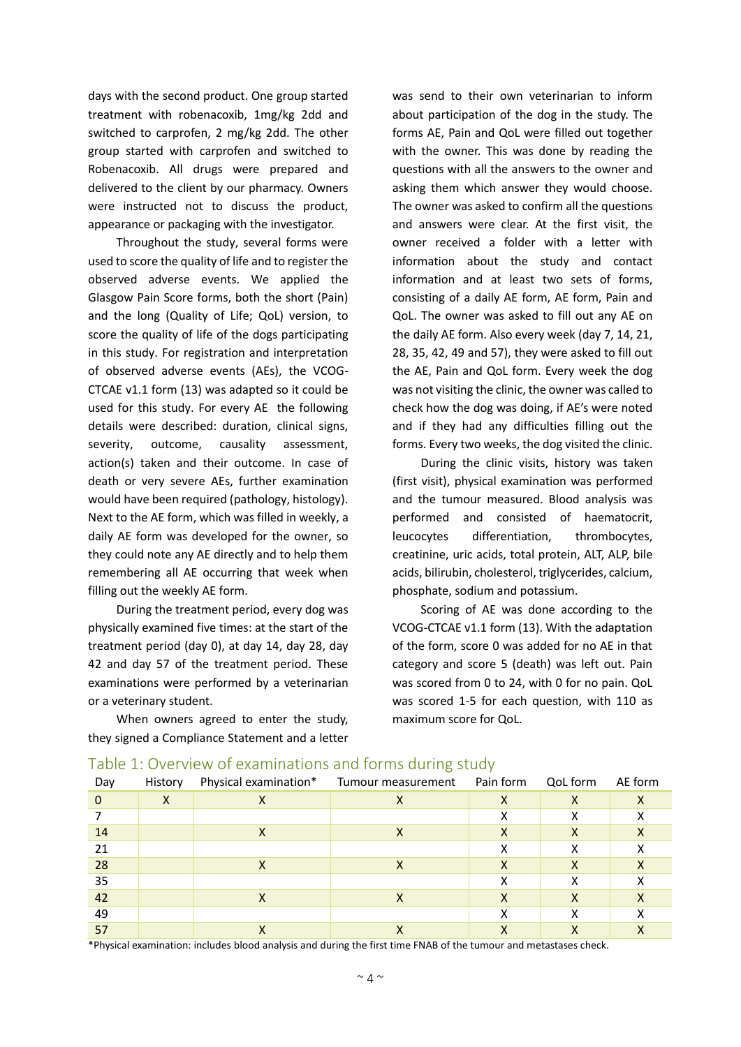days with the second product. One group started treatment with robenacoxib, 1mg/kg 2dd and switched to carprofen, 2 mg/kg 2dd. The other group started with carprofen and switched to Robenacoxib. All drugs were prepared and delivered to the client by our pharmacy. Owners were instructed not to discuss the product, appearance or packaging with the investigator.

Throughout the study, several forms were used to score the quality of life and to register the observed adverse events. We applied the Glasgow Pain Score forms, both the short (Pain) and the long (Quality of Life; QoL) version, to score the quality of life of the dogs participating in this study. For registration and interpretation of observed adverse events (AEs), the VCOG-CTCAE v1.1 form (13) was adapted so it could be used for this study. For every AE the following details were described: duration, clinical signs, severity, outcome, causality assessment, action(s) taken and their outcome. In case of death or very severe AEs, further examination would have been required (pathology, histology). Next to the AE form, which was filled in weekly, a daily AE form was developed for the owner, so they could note any AE directly and to help them remembering all AE occurring that week when filling out the weekly AE form.

During the treatment period, every dog was physically examined five times: at the start of the treatment period (day 0), at day 14, day 28, day 42 and day 57 of the treatment period. These examinations were performed by a veterinarian or a veterinary student.

When owners agreed to enter the study, they signed a Compliance Statement and a letter was send to their own veterinarian to inform about participation of the dog in the study. The forms AE, Pain and QoL were filled out together with the owner. This was done by reading the questions with all the answers to the owner and asking them which answer they would choose. The owner was asked to confirm all the questions and answers were clear. At the first visit, the owner received a folder with a letter with information about the study and contact information and at least two sets of forms, consisting of a daily AE form, AE form, Pain and QoL. The owner was asked to fill out any AE on the daily AE form. Also every week (day 7, 14, 21, 28, 35, 42, 49 and 57), they were asked to fill out the AE, Pain and QoL form. Every week the dog was not visiting the clinic, the owner was called to check how the dog was doing, if AE's were noted and if they had any difficulties filling out the forms. Every two weeks, the dog visited the clinic.

During the clinic visits, history was taken (first visit), physical examination was performed and the tumour measured. Blood analysis was performed and consisted of haematocrit, leucocytes differentiation, thrombocytes, creatinine, uric acids, total protein, ALT, ALP, bile acids, bilirubin, cholesterol, triglycerides, calcium, phosphate, sodium and potassium.

Scoring of AE was done according to the VCOG-CTCAE v1.1 form (13). With the adaptation of the form, score 0 was added for no AE in that category and score 5 (death) was left out. Pain was scored from 0 to 24, with 0 for no pain. QoL was scored 1-5 for each question, with 110 as maximum score for QoL.

| Day | History |   | Physical examination* Tumour measurement | Pain form | QoL form     | AE form |
|-----|---------|---|------------------------------------------|-----------|--------------|---------|
| 0   | Χ       |   | х                                        | Χ         | X            |         |
|     |         |   |                                          | x         | х            |         |
| 14  |         | ↗ | ∧                                        |           | ↗            |         |
| 21  |         |   |                                          | v         | v            |         |
| 28  |         | Χ | х                                        | Χ         | Χ            |         |
| 35  |         |   |                                          |           | х            |         |
| 42  |         | ⋏ | х                                        | х         | Χ            |         |
| 49  |         |   |                                          | v         | $\checkmark$ |         |
| 57  |         |   |                                          |           |              |         |

#### Table 1: Overview of examinations and forms during study

\*Physical examination: includes blood analysis and during the first time FNAB of the tumour and metastases check.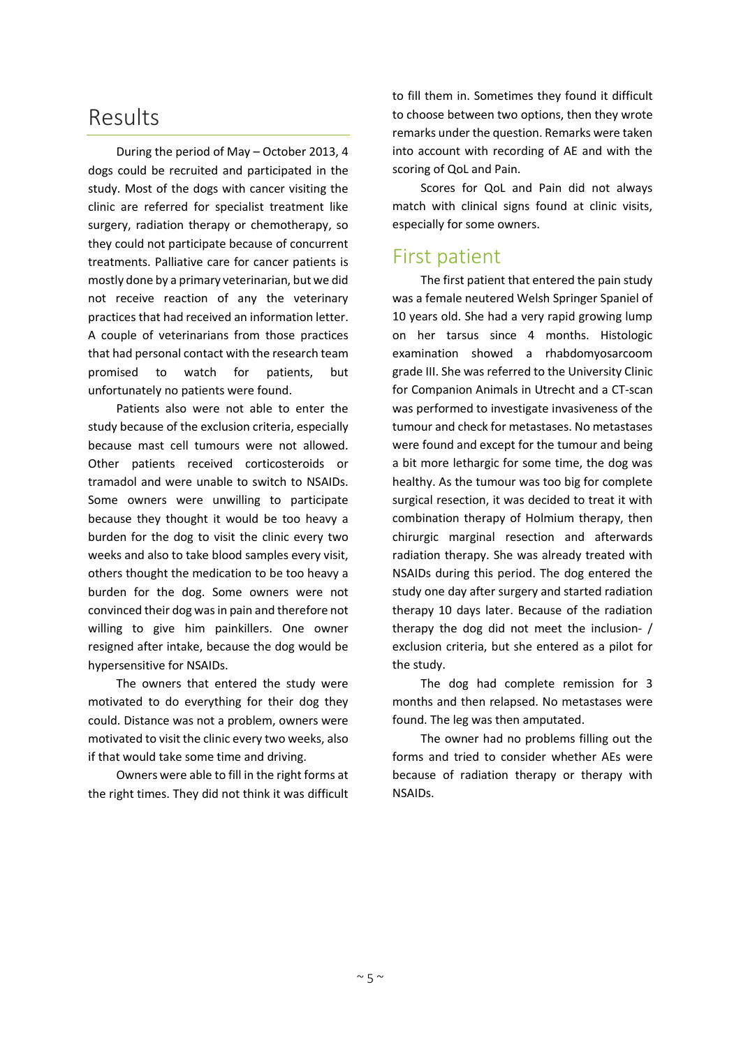## Results

During the period of May – October 2013, 4 dogs could be recruited and participated in the study. Most of the dogs with cancer visiting the clinic are referred for specialist treatment like surgery, radiation therapy or chemotherapy, so they could not participate because of concurrent treatments. Palliative care for cancer patients is mostly done by a primary veterinarian, but we did not receive reaction of any the veterinary practices that had received an information letter. A couple of veterinarians from those practices that had personal contact with the research team promised to watch for patients, but unfortunately no patients were found.

Patients also were not able to enter the study because of the exclusion criteria, especially because mast cell tumours were not allowed. Other patients received corticosteroids or tramadol and were unable to switch to NSAIDs. Some owners were unwilling to participate because they thought it would be too heavy a burden for the dog to visit the clinic every two weeks and also to take blood samples every visit, others thought the medication to be too heavy a burden for the dog. Some owners were not convinced their dog was in pain and therefore not willing to give him painkillers. One owner resigned after intake, because the dog would be hypersensitive for NSAIDs.

The owners that entered the study were motivated to do everything for their dog they could. Distance was not a problem, owners were motivated to visit the clinic every two weeks, also if that would take some time and driving.

Owners were able to fill in the right forms at the right times. They did not think it was difficult

to fill them in. Sometimes they found it difficult to choose between two options, then they wrote remarks under the question. Remarks were taken into account with recording of AE and with the scoring of QoL and Pain.

Scores for QoL and Pain did not always match with clinical signs found at clinic visits, especially for some owners.

### First patient

The first patient that entered the pain study was a female neutered Welsh Springer Spaniel of 10 years old. She had a very rapid growing lump on her tarsus since 4 months. Histologic examination showed a rhabdomyosarcoom grade III. She was referred to the University Clinic for Companion Animals in Utrecht and a CT-scan was performed to investigate invasiveness of the tumour and check for metastases. No metastases were found and except for the tumour and being a bit more lethargic for some time, the dog was healthy. As the tumour was too big for complete surgical resection, it was decided to treat it with combination therapy of Holmium therapy, then chirurgic marginal resection and afterwards radiation therapy. She was already treated with NSAIDs during this period. The dog entered the study one day after surgery and started radiation therapy 10 days later. Because of the radiation therapy the dog did not meet the inclusion- / exclusion criteria, but she entered as a pilot for the study.

The dog had complete remission for 3 months and then relapsed. No metastases were found. The leg was then amputated.

The owner had no problems filling out the forms and tried to consider whether AEs were because of radiation therapy or therapy with NSAIDs.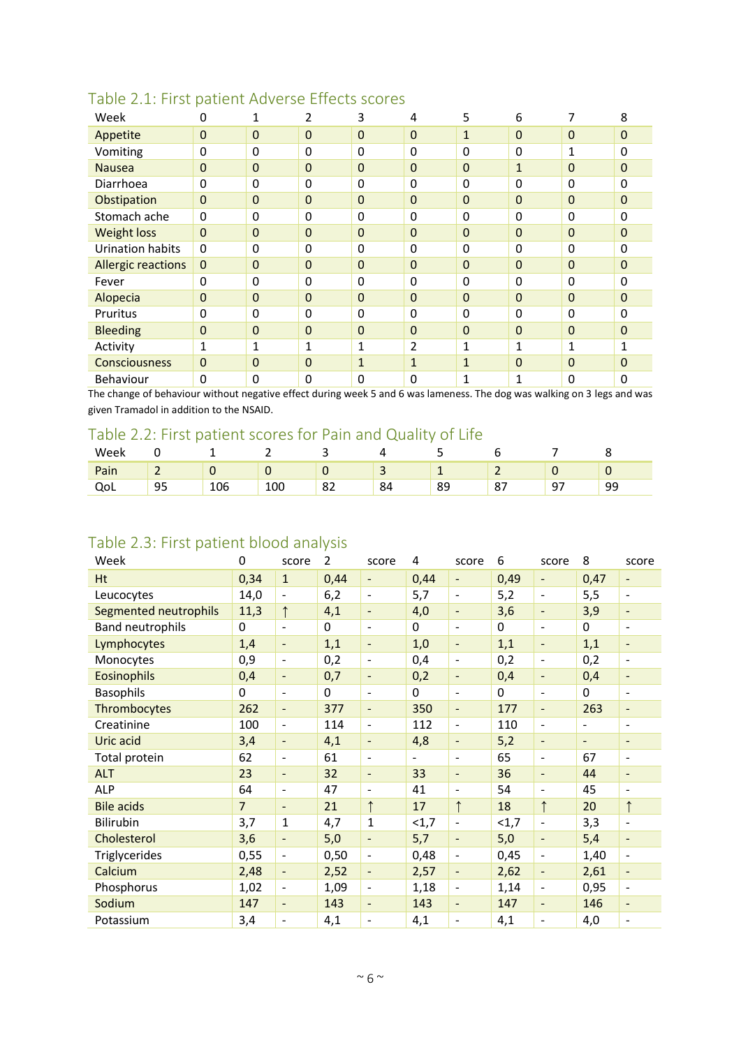| Week                      | 0              | 1              | 2            | 3            | 4              | 5            | 6              | 7                | 8              |
|---------------------------|----------------|----------------|--------------|--------------|----------------|--------------|----------------|------------------|----------------|
| Appetite                  | $\mathbf 0$    | $\mathbf 0$    | $\mathbf{0}$ | $\mathbf 0$  | $\overline{0}$ | $\mathbf{1}$ | $\mathbf{0}$   | $\pmb{0}$        | $\mathbf 0$    |
| Vomiting                  | $\Omega$       | 0              | 0            | 0            | 0              | 0            | 0              | 1                | 0              |
| <b>Nausea</b>             | $\overline{0}$ | $\overline{0}$ | 0            | 0            | 0              | 0            | Ŧ              | $\boldsymbol{0}$ | $\overline{0}$ |
| Diarrhoea                 | $\Omega$       | 0              | 0            | 0            | 0              | 0            | 0              | 0                | $\Omega$       |
| Obstipation               | $\overline{0}$ | $\mathbf 0$    | $\mathbf 0$  | $\mathbf 0$  | 0              | $\mathbf 0$  | $\overline{0}$ | $\boldsymbol{0}$ | $\overline{0}$ |
| Stomach ache              | $\mathbf 0$    | 0              | 0            | 0            | 0              | 0            | 0              | 0                | $\Omega$       |
| <b>Weight loss</b>        | $\Omega$       | $\mathbf 0$    | $\mathbf 0$  | $\mathbf 0$  | $\overline{0}$ | $\mathbf{0}$ | $\mathbf{0}$   | $\mathbf{0}$     | $\mathbf{0}$   |
| <b>Urination habits</b>   | $\Omega$       | 0              | $\mathbf{0}$ | 0            | 0              | 0            | 0              | 0                | $\Omega$       |
| <b>Allergic reactions</b> | $\mathbf 0$    | $\mathbf 0$    | 0            | $\mathbf 0$  | 0              | $\mathbf 0$  | $\mathbf 0$    | $\mathbf{0}$     | $\Omega$       |
| Fever                     | $\Omega$       | 0              | 0            | 0            | 0              | 0            | 0              | 0                | 0              |
| Alopecia                  | $\overline{0}$ | $\mathbf 0$    | $\mathbf 0$  | $\mathbf 0$  | $\overline{0}$ | $\mathbf 0$  | $\Omega$       | $\boldsymbol{0}$ | $\Omega$       |
| Pruritus                  | $\Omega$       | 0              | 0            | 0            | 0              | 0            | 0              | $\mathbf 0$      | $\Omega$       |
| <b>Bleeding</b>           | $\mathbf 0$    | $\mathbf 0$    | $\mathbf{0}$ | $\mathbf 0$  | $\overline{0}$ | $\mathbf{0}$ | $\mathbf{0}$   | $\mathbf{0}$     | $\mathbf{0}$   |
| Activity                  | 1              | $\mathbf{1}$   | $\mathbf{1}$ | 1            | $\overline{2}$ | 1            | 1<br>T         | 1                | $\mathbf{1}$   |
| <b>Consciousness</b>      | $\overline{0}$ | $\mathbf 0$    | 0            | $\mathbf{1}$ | $\mathbf{1}$   | $\mathbf{1}$ | $\mathbf{0}$   | $\mathbf{0}$     | $\Omega$       |
| <b>Behaviour</b>          | $\mathbf{0}$   | 0              | 0            | 0            | 0              | 1            |                | $\Omega$         | $\Omega$       |

### Table 2.1: First patient Adverse Effects scores

The change of behaviour without negative effect during week 5 and 6 was lameness. The dog was walking on 3 legs and was given Tramadol in addition to the NSAID.

### Table 2.2: First patient scores for Pain and Quality of Life

| Week                  |          |     |     |    |                     | ـ                |                    |                               |    |
|-----------------------|----------|-----|-----|----|---------------------|------------------|--------------------|-------------------------------|----|
| D <sub>2</sub><br>ган |          |     |     |    |                     |                  |                    |                               |    |
| ∽∽                    | Q۵<br>-- | ⊥∪∪ | 100 | ပ∠ | $Q$ $\Lambda$<br>о4 | $^{\circ}$<br>၀၁ | $\circ$<br>$\circ$ | $\overline{\phantom{0}}$<br>ч | 99 |

### Table 2.3: First patient blood analysis

| Week                    | 0              | score                    | 2        | score                        | 4        | score                        | 6        | score                        | 8                        | score                    |
|-------------------------|----------------|--------------------------|----------|------------------------------|----------|------------------------------|----------|------------------------------|--------------------------|--------------------------|
| Ht                      | 0,34           | $\mathbf{1}$             | 0,44     | $\blacksquare$               | 0,44     | $\blacksquare$               | 0,49     | $\overline{\phantom{a}}$     | 0,47                     | $\overline{\phantom{a}}$ |
| Leucocytes              | 14,0           | $\overline{\phantom{a}}$ | 6,2      | $\overline{a}$               | 5,7      | $\qquad \qquad \blacksquare$ | 5,2      | $\blacksquare$               | 5,5                      | $\overline{\phantom{a}}$ |
| Segmented neutrophils   | 11,3           | $\uparrow$               | 4,1      | $\qquad \qquad \blacksquare$ | 4,0      | $\overline{\phantom{a}}$     | 3,6      | $\qquad \qquad -$            | 3,9                      | $\overline{\phantom{a}}$ |
| <b>Band neutrophils</b> | 0              | $\overline{\phantom{a}}$ | $\Omega$ | $\qquad \qquad$              | $\Omega$ | $\overline{\phantom{a}}$     | $\Omega$ | $\overline{\phantom{a}}$     | $\Omega$                 | $\overline{\phantom{a}}$ |
| Lymphocytes             | 1,4            | $\overline{\phantom{a}}$ | 1,1      | $\overline{\phantom{a}}$     | 1,0      | ٠                            | 1,1      | $\overline{\phantom{0}}$     | 1,1                      | $\overline{\phantom{a}}$ |
| Monocytes               | 0,9            | $\blacksquare$           | 0,2      | $\overline{\phantom{a}}$     | 0,4      | $\overline{\phantom{a}}$     | 0,2      | $\overline{\phantom{a}}$     | 0,2                      | $\overline{\phantom{a}}$ |
| <b>Eosinophils</b>      | 0,4            | $\overline{\phantom{a}}$ | 0,7      | $\overline{\phantom{a}}$     | 0,2      | $\overline{\phantom{a}}$     | 0,4      | ۰                            | 0,4                      | $\overline{\phantom{a}}$ |
| <b>Basophils</b>        | 0              | $\overline{\phantom{a}}$ | 0        | $\overline{\phantom{a}}$     | 0        | $\overline{\phantom{a}}$     | 0        | $\blacksquare$               | $\Omega$                 | $\overline{\phantom{a}}$ |
| Thrombocytes            | 262            | $\overline{\phantom{a}}$ | 377      | $\overline{\phantom{a}}$     | 350      | $\overline{\phantom{a}}$     | 177      | $\qquad \qquad -$            | 263                      | $\overline{\phantom{a}}$ |
| Creatinine              | 100            | $\overline{\phantom{a}}$ | 114      | $\overline{\phantom{a}}$     | 112      | $\overline{\phantom{a}}$     | 110      | $\overline{\phantom{a}}$     | $\overline{\phantom{a}}$ | $\overline{\phantom{a}}$ |
| Uric acid               | 3,4            | $\overline{\phantom{a}}$ | 4,1      | $\overline{\phantom{a}}$     | 4,8      | $\qquad \qquad \blacksquare$ | 5,2      | $\blacksquare$               | $\blacksquare$           | $\overline{\phantom{a}}$ |
| Total protein           | 62             | $\overline{\phantom{a}}$ | 61       | $\overline{\phantom{a}}$     | -        | $\overline{\phantom{a}}$     | 65       | $\blacksquare$               | 67                       | $\overline{\phantom{a}}$ |
| <b>ALT</b>              | 23             | $\blacksquare$           | 32       | $\overline{\phantom{a}}$     | 33       | $\overline{\phantom{a}}$     | 36       | $\blacksquare$               | 44                       | $\overline{\phantom{a}}$ |
| <b>ALP</b>              | 64             | $\overline{\phantom{a}}$ | 47       | $\overline{\phantom{a}}$     | 41       | $\overline{\phantom{a}}$     | 54       | $\overline{\phantom{a}}$     | 45                       | $\overline{\phantom{a}}$ |
| <b>Bile acids</b>       | $\overline{7}$ | $\overline{\phantom{a}}$ | 21       | $\uparrow$                   | 17       | $\uparrow$                   | 18       | $\uparrow$                   | 20                       | $\uparrow$               |
| <b>Bilirubin</b>        | 3,7            | 1                        | 4,7      | $\mathbf{1}$                 | <1,7     | $\qquad \qquad \blacksquare$ | <1,7     | ÷,                           | 3,3                      | $\blacksquare$           |
| Cholesterol             | 3,6            | $\overline{\phantom{a}}$ | 5,0      | $\overline{\phantom{a}}$     | 5,7      | ٠                            | 5,0      | $\overline{\phantom{a}}$     | 5,4                      | $\overline{\phantom{a}}$ |
| Triglycerides           | 0,55           | $\blacksquare$           | 0,50     | $\overline{\phantom{a}}$     | 0,48     | $\overline{\phantom{a}}$     | 0,45     | $\overline{\phantom{a}}$     | 1,40                     | $\overline{\phantom{a}}$ |
| Calcium                 | 2,48           | $\blacksquare$           | 2,52     | $\overline{\phantom{a}}$     | 2,57     | $\overline{\phantom{a}}$     | 2,62     | $\overline{\phantom{a}}$     | 2,61                     | $\overline{\phantom{a}}$ |
| Phosphorus              | 1,02           | $\blacksquare$           | 1,09     | $\overline{\phantom{a}}$     | 1,18     | $\overline{\phantom{a}}$     | 1,14     | $\blacksquare$               | 0,95                     | $\blacksquare$           |
| Sodium                  | 147            | $\overline{\phantom{a}}$ | 143      | ٠                            | 143      | $\overline{\phantom{a}}$     | 147      | $\qquad \qquad \blacksquare$ | 146                      | $\overline{\phantom{a}}$ |
| Potassium               | 3,4            | $\blacksquare$           | 4,1      | $\overline{\phantom{0}}$     | 4,1      | $\qquad \qquad \blacksquare$ | 4,1      | $\blacksquare$               | 4,0                      | $\overline{\phantom{a}}$ |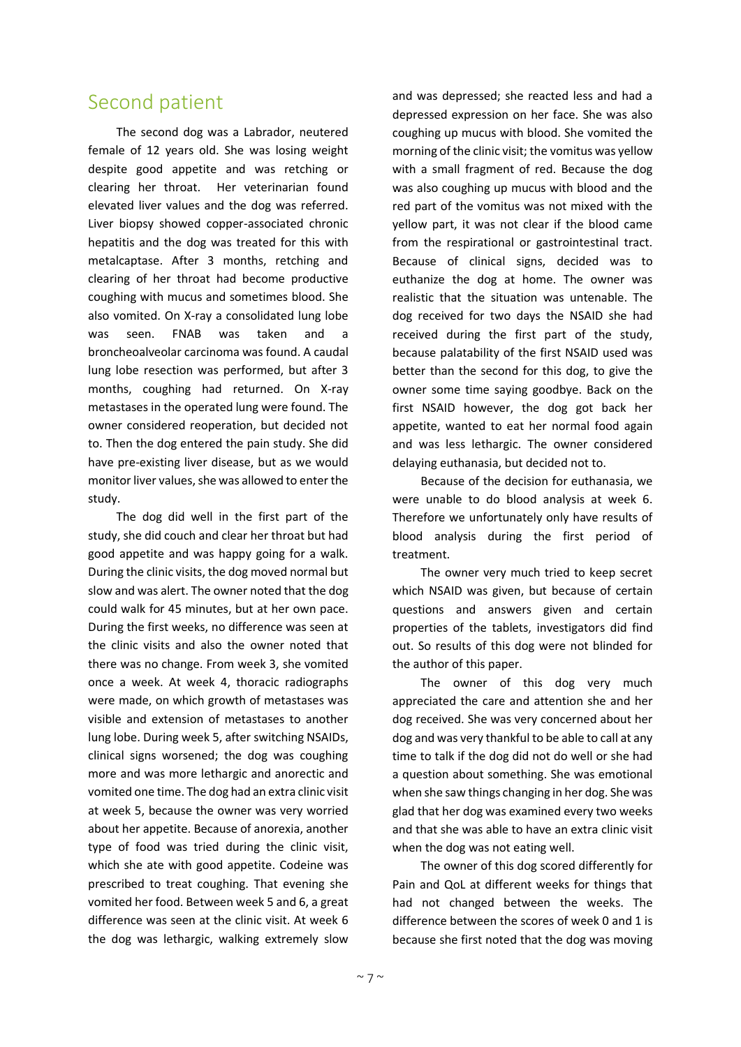### Second patient

The second dog was a Labrador, neutered female of 12 years old. She was losing weight despite good appetite and was retching or clearing her throat. Her veterinarian found elevated liver values and the dog was referred. Liver biopsy showed copper-associated chronic hepatitis and the dog was treated for this with metalcaptase. After 3 months, retching and clearing of her throat had become productive coughing with mucus and sometimes blood. She also vomited. On X-ray a consolidated lung lobe was seen. FNAB was taken and a broncheoalveolar carcinoma was found. A caudal lung lobe resection was performed, but after 3 months, coughing had returned. On X-ray metastases in the operated lung were found. The owner considered reoperation, but decided not to. Then the dog entered the pain study. She did have pre-existing liver disease, but as we would monitor liver values, she was allowed to enter the study.

The dog did well in the first part of the study, she did couch and clear her throat but had good appetite and was happy going for a walk. During the clinic visits, the dog moved normal but slow and was alert. The owner noted that the dog could walk for 45 minutes, but at her own pace. During the first weeks, no difference was seen at the clinic visits and also the owner noted that there was no change. From week 3, she vomited once a week. At week 4, thoracic radiographs were made, on which growth of metastases was visible and extension of metastases to another lung lobe. During week 5, after switching NSAIDs, clinical signs worsened; the dog was coughing more and was more lethargic and anorectic and vomited one time. The dog had an extra clinic visit at week 5, because the owner was very worried about her appetite. Because of anorexia, another type of food was tried during the clinic visit, which she ate with good appetite. Codeine was prescribed to treat coughing. That evening she vomited her food. Between week 5 and 6, a great difference was seen at the clinic visit. At week 6 the dog was lethargic, walking extremely slow

and was depressed; she reacted less and had a depressed expression on her face. She was also coughing up mucus with blood. She vomited the morning of the clinic visit; the vomitus was yellow with a small fragment of red. Because the dog was also coughing up mucus with blood and the red part of the vomitus was not mixed with the yellow part, it was not clear if the blood came from the respirational or gastrointestinal tract. Because of clinical signs, decided was to euthanize the dog at home. The owner was realistic that the situation was untenable. The dog received for two days the NSAID she had received during the first part of the study, because palatability of the first NSAID used was better than the second for this dog, to give the owner some time saying goodbye. Back on the first NSAID however, the dog got back her appetite, wanted to eat her normal food again and was less lethargic. The owner considered delaying euthanasia, but decided not to.

Because of the decision for euthanasia, we were unable to do blood analysis at week 6. Therefore we unfortunately only have results of blood analysis during the first period of treatment.

The owner very much tried to keep secret which NSAID was given, but because of certain questions and answers given and certain properties of the tablets, investigators did find out. So results of this dog were not blinded for the author of this paper.

The owner of this dog very much appreciated the care and attention she and her dog received. She was very concerned about her dog and was very thankful to be able to call at any time to talk if the dog did not do well or she had a question about something. She was emotional when she saw things changing in her dog. She was glad that her dog was examined every two weeks and that she was able to have an extra clinic visit when the dog was not eating well.

The owner of this dog scored differently for Pain and QoL at different weeks for things that had not changed between the weeks. The difference between the scores of week 0 and 1 is because she first noted that the dog was moving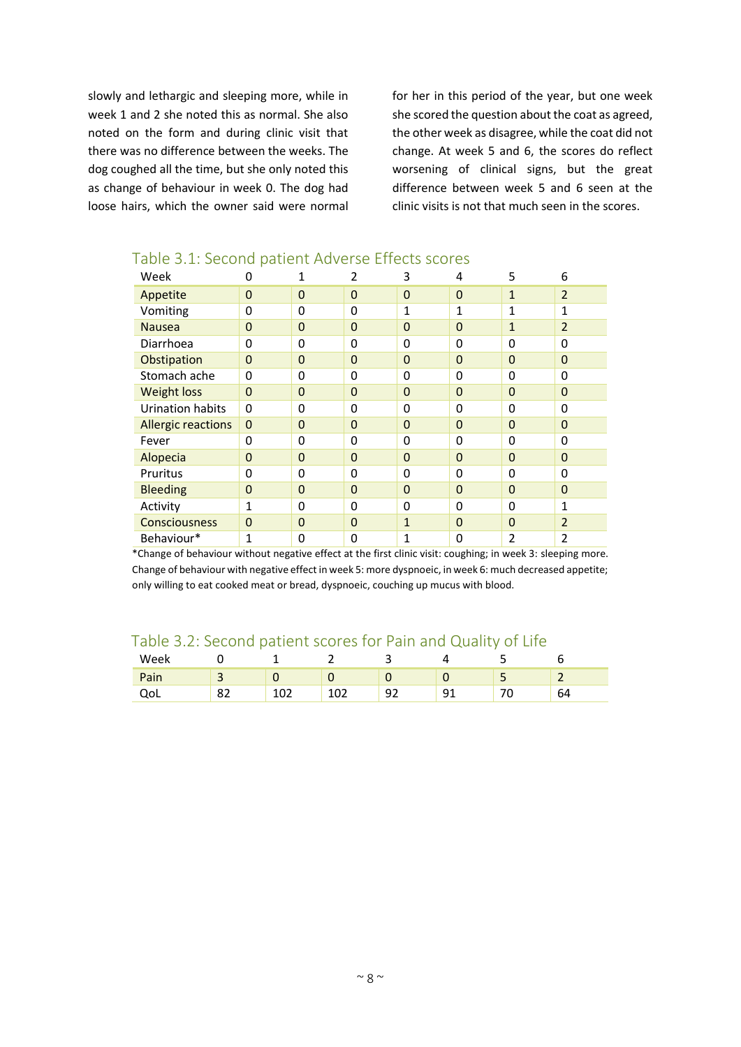slowly and lethargic and sleeping more, while in week 1 and 2 she noted this as normal. She also noted on the form and during clinic visit that there was no difference between the weeks. The dog coughed all the time, but she only noted this as change of behaviour in week 0. The dog had loose hairs, which the owner said were normal for her in this period of the year, but one week she scored the question about the coat as agreed, the other week as disagree, while the coat did not change. At week 5 and 6, the scores do reflect worsening of clinical signs, but the great difference between week 5 and 6 seen at the clinic visits is not that much seen in the scores.

| Week                      | 0                |                | 2              | 3            | 4              | 5              | 6              |
|---------------------------|------------------|----------------|----------------|--------------|----------------|----------------|----------------|
| Appetite                  | $\mathbf 0$      | $\overline{0}$ | 0              | $\mathbf 0$  | $\Omega$       | $\mathbf{1}$   | $\overline{2}$ |
| Vomiting                  | 0                | $\Omega$       | 0              | 1            | $\mathbf{1}$   | 1              | 1              |
| <b>Nausea</b>             | $\overline{0}$   | 0              | 0              | $\Omega$     | $\overline{0}$ | $\mathbf{1}$   | $\overline{2}$ |
| Diarrhoea                 | 0                | 0              | 0              | 0            | 0              | $\mathbf{0}$   | 0              |
| Obstipation               | $\mathbf 0$      | $\overline{0}$ | 0              | $\Omega$     | $\overline{0}$ | $\overline{0}$ | $\mathbf 0$    |
| Stomach ache              | 0                | 0              | 0              | 0            | 0              | $\Omega$       | 0              |
| <b>Weight loss</b>        | $\overline{0}$   | $\overline{0}$ | $\overline{0}$ | $\Omega$     | $\overline{0}$ | $\Omega$       | $\overline{0}$ |
| <b>Urination habits</b>   | $\mathbf 0$      | 0              | 0              | 0            | 0              | 0              | 0              |
| <b>Allergic reactions</b> | $\boldsymbol{0}$ | $\overline{0}$ | 0              | $\Omega$     | 0              | $\overline{0}$ | $\overline{0}$ |
| Fever                     | 0                | 0              | 0              | $\Omega$     | 0              | $\mathbf 0$    | 0              |
| Alopecia                  | $\overline{0}$   | $\Omega$       | 0              | $\Omega$     | $\overline{0}$ | $\overline{0}$ | $\overline{0}$ |
| Pruritus                  | 0                | $\Omega$       | 0              | $\Omega$     | 0              | $\mathbf{0}$   | 0              |
| <b>Bleeding</b>           | $\overline{0}$   | $\overline{0}$ | 0              | $\Omega$     | $\Omega$       | $\overline{0}$ | $\overline{0}$ |
| Activity                  | $\mathbf{1}$     | 0              | 0              | $\Omega$     | 0              | 0              | $\mathbf{1}$   |
| Consciousness             | $\overline{0}$   | $\Omega$       | $\Omega$       | $\mathbf{1}$ | $\Omega$       | $\overline{0}$ | $\overline{2}$ |
| Behaviour*                | 1                | 0              | 0              | 1            | 0              | 2              | 2              |

#### Table 3.1: Second patient Adverse Effects scores

\*Change of behaviour without negative effect at the first clinic visit: coughing; in week 3: sleeping more. Change of behaviour with negative effect in week 5: more dyspnoeic, in week 6: much decreased appetite; only willing to eat cooked meat or bread, dyspnoeic, couching up mucus with blood.

#### Table 3.2: Second patient scores for Pain and Quality of Life

| Week |   |    | —         |         |   |    |
|------|---|----|-----------|---------|---|----|
| ain  |   |    |           |         |   |    |
|      | ັ | ∸∽ | --<br>ᅩᇰᄼ | u<br>-- | ີ | 64 |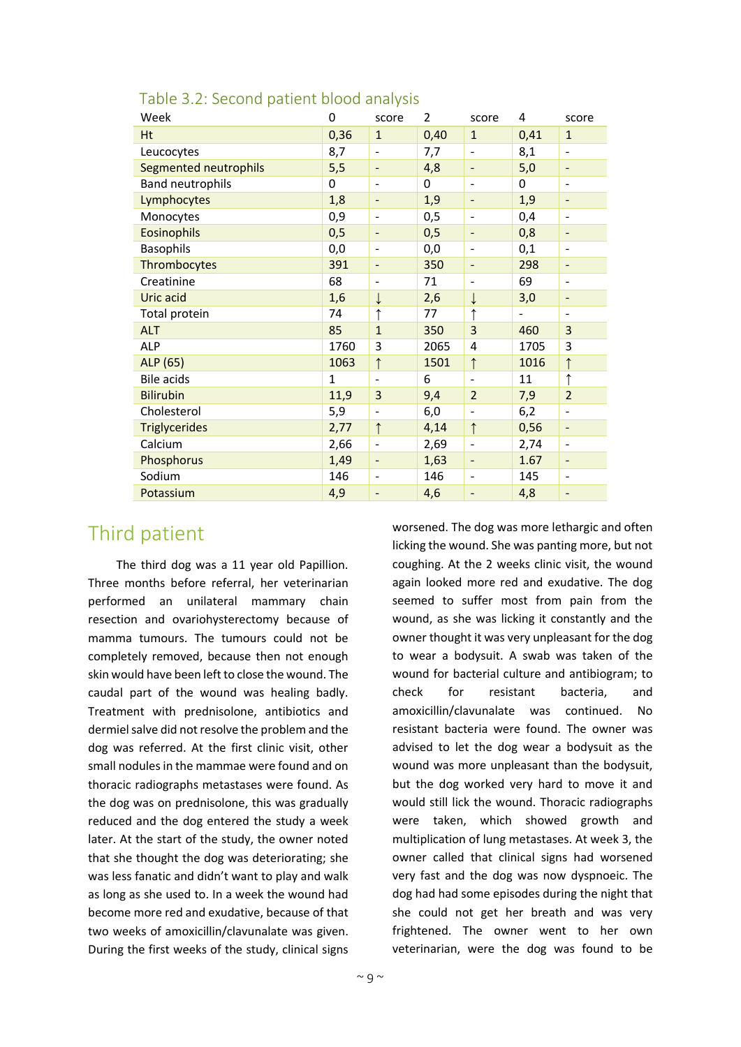| Week                    | 0    | score                        | 2    | score                        | 4    | score                        |
|-------------------------|------|------------------------------|------|------------------------------|------|------------------------------|
| Ht                      | 0,36 | $\mathbf{1}$                 | 0,40 | $\mathbf{1}$                 | 0,41 | $\mathbf{1}$                 |
| Leucocytes              | 8,7  | $\overline{a}$               | 7,7  | $\qquad \qquad \blacksquare$ | 8,1  | $\overline{\phantom{m}}$     |
| Segmented neutrophils   | 5,5  | $\qquad \qquad \blacksquare$ | 4,8  | $\overline{\phantom{a}}$     | 5,0  | $\qquad \qquad \blacksquare$ |
| <b>Band neutrophils</b> | 0    | $\overline{\phantom{a}}$     | 0    | $\qquad \qquad \blacksquare$ | 0    | $\overline{\phantom{0}}$     |
| Lymphocytes             | 1,8  | $\qquad \qquad \blacksquare$ | 1,9  | $\overline{\phantom{a}}$     | 1,9  | $\qquad \qquad \blacksquare$ |
| Monocytes               | 0,9  | $\overline{a}$               | 0,5  | $\overline{a}$               | 0,4  | $\overline{\phantom{a}}$     |
| <b>Eosinophils</b>      | 0,5  | $\overline{a}$               | 0,5  |                              | 0,8  | $\overline{\phantom{a}}$     |
| <b>Basophils</b>        | 0,0  | $\overline{a}$               | 0,0  | $\overline{\phantom{a}}$     | 0,1  | $\overline{\phantom{a}}$     |
| Thrombocytes            | 391  | $\qquad \qquad \blacksquare$ | 350  | $\overline{\phantom{0}}$     | 298  | $\qquad \qquad \blacksquare$ |
| Creatinine              | 68   | $\overline{\phantom{a}}$     | 71   | $\overline{\phantom{a}}$     | 69   | $\overline{\phantom{a}}$     |
| Uric acid               | 1,6  | ↓                            | 2,6  | $\downarrow$                 | 3,0  | $\overline{\phantom{a}}$     |
| Total protein           | 74   |                              | 77   | ↑                            |      | $\overline{\phantom{a}}$     |
| <b>ALT</b>              | 85   | $\mathbf{1}$                 | 350  | 3                            | 460  | 3                            |
| ALP                     | 1760 | 3                            | 2065 | 4                            | 1705 | 3                            |
| ALP (65)                | 1063 | $\uparrow$                   | 1501 | $\uparrow$                   | 1016 | $\uparrow$                   |
| <b>Bile acids</b>       | 1    | $\blacksquare$               | 6    | $\blacksquare$               | 11   | ↑                            |
| <b>Bilirubin</b>        | 11,9 | 3                            | 9,4  | $\overline{2}$               | 7,9  | $\overline{2}$               |
| Cholesterol             | 5,9  | $\overline{\phantom{0}}$     | 6,0  | $\overline{a}$               | 6,2  | $\overline{\phantom{m}}$     |
| <b>Triglycerides</b>    | 2,77 | $\uparrow$                   | 4,14 | $\uparrow$                   | 0,56 | $\overline{\phantom{0}}$     |
| Calcium                 | 2,66 | $\overline{a}$               | 2,69 | ÷                            | 2,74 | $\overline{\phantom{m}}$     |
| Phosphorus              | 1,49 | $\overline{\phantom{a}}$     | 1,63 | -                            | 1.67 | $\qquad \qquad \blacksquare$ |
| Sodium                  | 146  | $\overline{a}$               | 146  | $\blacksquare$               | 145  | $\overline{\phantom{a}}$     |
| Potassium               | 4,9  | -                            | 4,6  | $\overline{a}$               | 4,8  | $\qquad \qquad \blacksquare$ |

#### Table 3.2: Second patient blood analysis

### Third patient

The third dog was a 11 year old Papillion. Three months before referral, her veterinarian performed an unilateral mammary chain resection and ovariohysterectomy because of mamma tumours. The tumours could not be completely removed, because then not enough skin would have been left to close the wound. The caudal part of the wound was healing badly. Treatment with prednisolone, antibiotics and dermiel salve did not resolve the problem and the dog was referred. At the first clinic visit, other small nodules in the mammae were found and on thoracic radiographs metastases were found. As the dog was on prednisolone, this was gradually reduced and the dog entered the study a week later. At the start of the study, the owner noted that she thought the dog was deteriorating; she was less fanatic and didn't want to play and walk as long as she used to. In a week the wound had become more red and exudative, because of that two weeks of amoxicillin/clavunalate was given. During the first weeks of the study, clinical signs

worsened. The dog was more lethargic and often licking the wound. She was panting more, but not coughing. At the 2 weeks clinic visit, the wound again looked more red and exudative. The dog seemed to suffer most from pain from the wound, as she was licking it constantly and the owner thought it was very unpleasant for the dog to wear a bodysuit. A swab was taken of the wound for bacterial culture and antibiogram; to check for resistant bacteria, and amoxicillin/clavunalate was continued. No resistant bacteria were found. The owner was advised to let the dog wear a bodysuit as the wound was more unpleasant than the bodysuit, but the dog worked very hard to move it and would still lick the wound. Thoracic radiographs were taken, which showed growth and multiplication of lung metastases. At week 3, the owner called that clinical signs had worsened very fast and the dog was now dyspnoeic. The dog had had some episodes during the night that she could not get her breath and was very frightened. The owner went to her own veterinarian, were the dog was found to be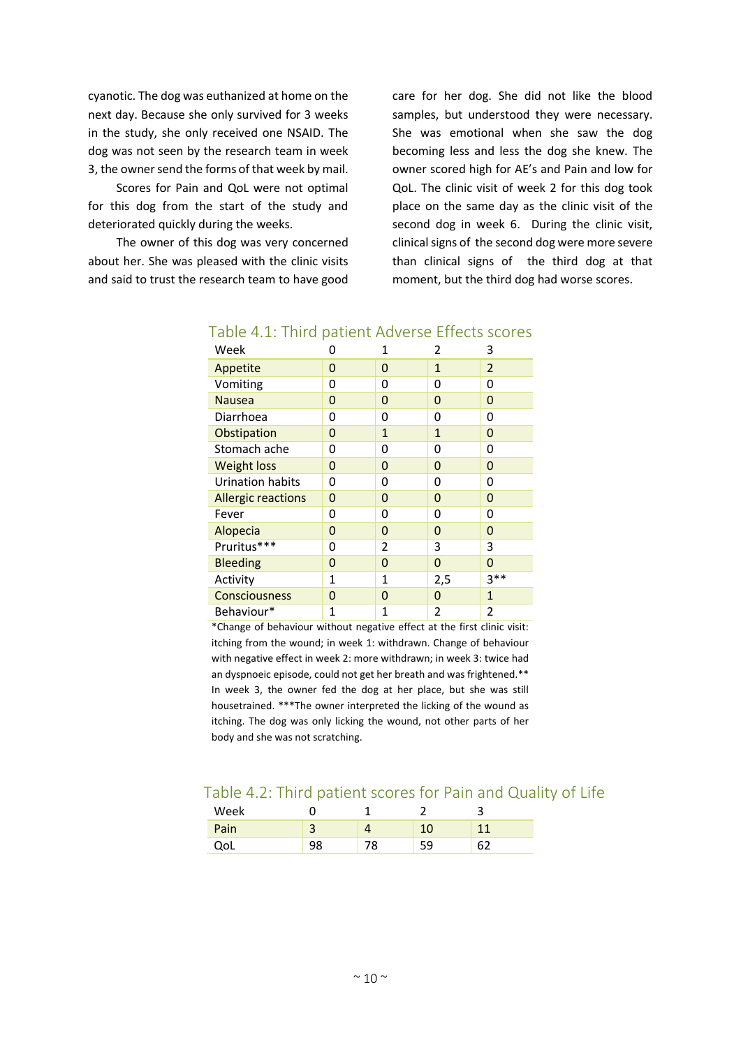cyanotic. The dog was euthanized at home on the next day. Because she only survived for 3 weeks in the study, she only received one NSAID. The dog was not seen by the research team in week 3, the owner send the forms of that week by mail.

Scores for Pain and QoL were not optimal for this dog from the start of the study and deteriorated quickly during the weeks.

The owner of this dog was very concerned about her. She was pleased with the clinic visits and said to trust the research team to have good care for her dog. She did not like the blood samples, but understood they were necessary. She was emotional when she saw the dog becoming less and less the dog she knew. The owner scored high for AE's and Pain and low for QoL. The clinic visit of week 2 for this dog took place on the same day as the clinic visit of the second dog in week 6. During the clinic visit, clinical signs of the second dog were more severe than clinical signs of the third dog at that moment, but the third dog had worse scores.

| Week                      | 0           | 1            | 2            | 3              |
|---------------------------|-------------|--------------|--------------|----------------|
| Appetite                  | 0           | 0            | $\mathbf{1}$ | $\overline{2}$ |
| Vomiting                  | 0           | 0            | 0            | 0              |
| <b>Nausea</b>             | 0           | 0            | 0            | 0              |
| Diarrhoea                 | 0           | 0            | 0            | 0              |
| Obstipation               | 0           | $\mathbf{1}$ | $\mathbf{1}$ | 0              |
| Stomach ache              | 0           | 0            | 0            | 0              |
| <b>Weight loss</b>        | 0           | 0            | $\Omega$     | $\Omega$       |
| Urination habits          | 0           | 0            | 0            | 0              |
| <b>Allergic reactions</b> | 0           | 0            | 0            | 0              |
| Fever                     | 0           | 0            | 0            | 0              |
| Alopecia                  | 0           | 0            | 0            | 0              |
| Pruritus***               | 0           | 2            | 3            | 3              |
| <b>Bleeding</b>           | 0           | 0            | 0            | 0              |
| Activity                  | 1           | 1            | 2,5          | $3**$          |
| <b>Consciousness</b>      | 0           | 0            | 0            | $\mathbf{1}$   |
| Behaviour*                | $\mathbf 1$ | 1            | 2            | 2              |

#### Table 4.1: Third patient Adverse Effects scores

\*Change of behaviour without negative effect at the first clinic visit: itching from the wound; in week 1: withdrawn. Change of behaviour with negative effect in week 2: more withdrawn; in week 3: twice had an dyspnoeic episode, could not get her breath and was frightened.\*\* In week 3, the owner fed the dog at her place, but she was still housetrained. \*\*\*The owner interpreted the licking of the wound as itching. The dog was only licking the wound, not other parts of her body and she was not scratching.

#### Table 4.2: Third patient scores for Pain and Quality of Life

| Week          |  |  |
|---------------|--|--|
| Pain          |  |  |
| $\sim$<br>ৼ৺৸ |  |  |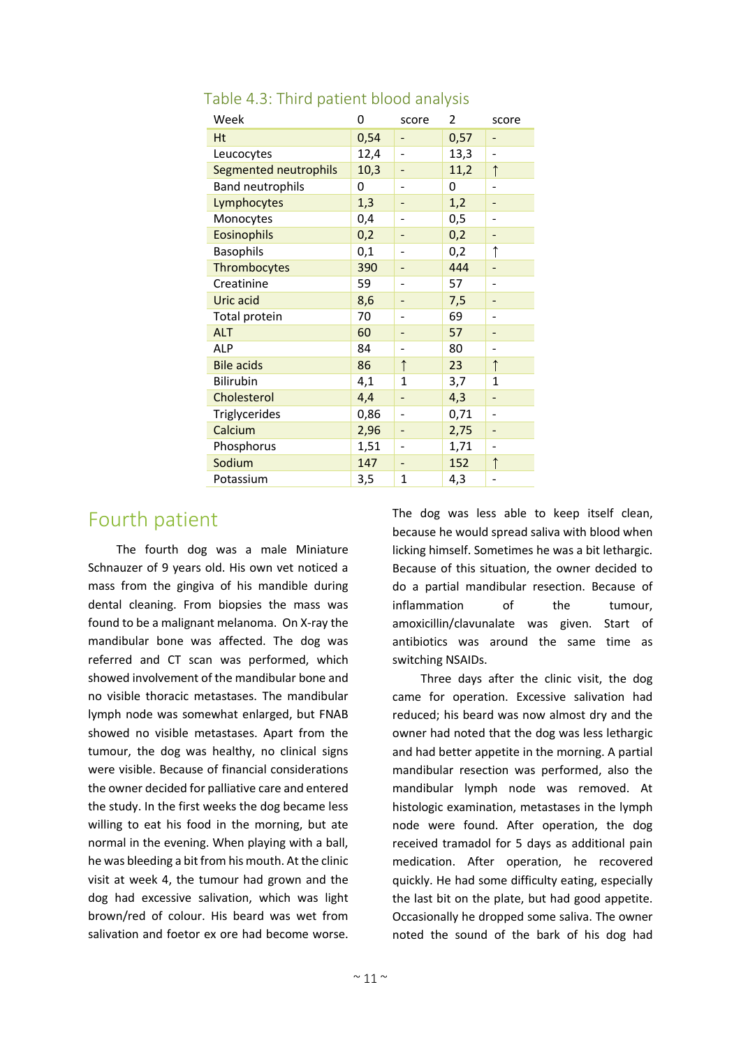| Week                    | 0    | score        | 2    | score          |
|-------------------------|------|--------------|------|----------------|
| Ht                      | 0,54 |              | 0,57 |                |
| Leucocytes              | 12,4 |              | 13,3 |                |
| Segmented neutrophils   | 10,3 |              | 11,2 | $\uparrow$     |
| <b>Band neutrophils</b> | 0    |              | 0    |                |
| Lymphocytes             | 1,3  |              | 1,2  |                |
| Monocytes               | 0,4  |              | 0,5  |                |
| <b>Eosinophils</b>      | 0,2  |              | 0,2  |                |
| <b>Basophils</b>        | 0,1  |              | 0,2  | ↑              |
| Thrombocytes            | 390  |              | 444  |                |
| Creatinine              | 59   |              | 57   | $\overline{a}$ |
| Uric acid               | 8,6  |              | 7,5  |                |
| Total protein           | 70   |              | 69   |                |
| <b>ALT</b>              | 60   |              | 57   |                |
| ALP                     | 84   |              | 80   |                |
| <b>Bile acids</b>       | 86   | $\uparrow$   | 23   | $\uparrow$     |
| Bilirubin               | 4,1  | $\mathbf{1}$ | 3,7  | 1              |
| Cholesterol             | 4,4  |              | 4,3  |                |
| Triglycerides           | 0,86 |              | 0,71 | ÷              |
| Calcium                 | 2,96 |              | 2,75 |                |
| Phosphorus              | 1,51 |              | 1,71 |                |
| Sodium                  | 147  |              | 152  | $\uparrow$     |
| Potassium               | 3,5  | 1            | 4,3  |                |

#### Table 4.3: Third patient blood analysis

### Fourth patient

The fourth dog was a male Miniature Schnauzer of 9 years old. His own vet noticed a mass from the gingiva of his mandible during dental cleaning. From biopsies the mass was found to be a malignant melanoma. On X-ray the mandibular bone was affected. The dog was referred and CT scan was performed, which showed involvement of the mandibular bone and no visible thoracic metastases. The mandibular lymph node was somewhat enlarged, but FNAB showed no visible metastases. Apart from the tumour, the dog was healthy, no clinical signs were visible. Because of financial considerations the owner decided for palliative care and entered the study. In the first weeks the dog became less willing to eat his food in the morning, but ate normal in the evening. When playing with a ball, he was bleeding a bit from his mouth. At the clinic visit at week 4, the tumour had grown and the dog had excessive salivation, which was light brown/red of colour. His beard was wet from salivation and foetor ex ore had become worse.

The dog was less able to keep itself clean, because he would spread saliva with blood when licking himself. Sometimes he was a bit lethargic. Because of this situation, the owner decided to do a partial mandibular resection. Because of inflammation of the tumour, amoxicillin/clavunalate was given. Start of antibiotics was around the same time as switching NSAIDs.

Three days after the clinic visit, the dog came for operation. Excessive salivation had reduced; his beard was now almost dry and the owner had noted that the dog was less lethargic and had better appetite in the morning. A partial mandibular resection was performed, also the mandibular lymph node was removed. At histologic examination, metastases in the lymph node were found. After operation, the dog received tramadol for 5 days as additional pain medication. After operation, he recovered quickly. He had some difficulty eating, especially the last bit on the plate, but had good appetite. Occasionally he dropped some saliva. The owner noted the sound of the bark of his dog had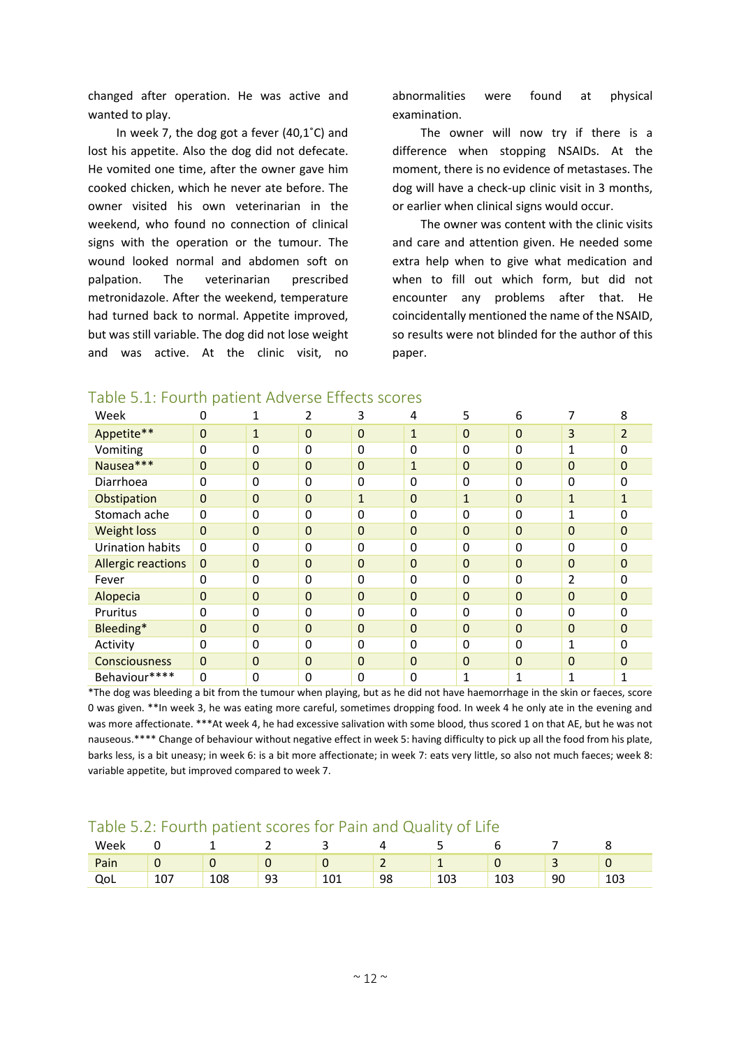changed after operation. He was active and wanted to play.

In week 7, the dog got a fever (40,1˚C) and lost his appetite. Also the dog did not defecate. He vomited one time, after the owner gave him cooked chicken, which he never ate before. The owner visited his own veterinarian in the weekend, who found no connection of clinical signs with the operation or the tumour. The wound looked normal and abdomen soft on palpation. The veterinarian prescribed metronidazole. After the weekend, temperature had turned back to normal. Appetite improved, but was still variable. The dog did not lose weight and was active. At the clinic visit, no

abnormalities were found at physical examination.

The owner will now try if there is a difference when stopping NSAIDs. At the moment, there is no evidence of metastases. The dog will have a check-up clinic visit in 3 months, or earlier when clinical signs would occur.

The owner was content with the clinic visits and care and attention given. He needed some extra help when to give what medication and when to fill out which form, but did not encounter any problems after that. He coincidentally mentioned the name of the NSAID, so results were not blinded for the author of this paper.

| Week                      | 0            |                  |                | 3                | 4              | 5            | 6                |                | 8              |
|---------------------------|--------------|------------------|----------------|------------------|----------------|--------------|------------------|----------------|----------------|
| Appetite**                | $\mathbf 0$  | $\mathbf{1}$     | $\overline{0}$ | $\mathbf 0$      | $\mathbf{1}$   | $\mathbf 0$  | $\boldsymbol{0}$ | 3              | $\overline{2}$ |
| Vomiting                  | 0            | 0                | $\Omega$       | 0                | 0              | 0            | 0                | 1              | 0              |
| Nausea***                 | $\mathbf{0}$ | $\mathbf 0$      | $\overline{0}$ | $\mathbf 0$      | 1              | $\mathbf 0$  | $\mathbf{0}$     | $\mathbf 0$    | $\overline{0}$ |
| Diarrhoea                 | $\Omega$     | $\mathbf 0$      | $\Omega$       | 0                | 0              | 0            | 0                | 0              | 0              |
| Obstipation               | $\mathbf 0$  | $\mathbf 0$      | $\overline{0}$ | $\mathbf{1}$     | $\mathbf 0$    | $\mathbf{1}$ | $\mathbf{0}$     | $\mathbf{1}$   | 1              |
| Stomach ache              | $\Omega$     | $\mathbf 0$      | $\Omega$       | 0                | 0              | 0            | 0                | 1              | 0              |
| <b>Weight loss</b>        | $\Omega$     | $\mathbf{0}$     | $\Omega$       | $\mathbf 0$      | $\mathbf 0$    | $\mathbf 0$  | $\mathbf 0$      | $\overline{0}$ | $\Omega$       |
| Urination habits          | $\Omega$     | $\mathbf 0$      | $\Omega$       | 0                | 0              | 0            | 0                | 0              | 0              |
| <b>Allergic reactions</b> | $\mathbf{0}$ | $\mathbf 0$      | $\overline{0}$ | $\boldsymbol{0}$ | $\overline{0}$ | $\mathbf 0$  | $\mathbf{0}$     | $\mathbf 0$    | $\mathbf{0}$   |
| Fever                     | $\Omega$     | $\mathbf 0$      | $\Omega$       | 0                | 0              | 0            | 0                | 2              | 0              |
| Alopecia                  | $\mathbf 0$  | $\boldsymbol{0}$ | $\Omega$       | $\mathbf 0$      | $\overline{0}$ | 0            | $\mathbf 0$      | $\overline{0}$ | $\overline{0}$ |
| Pruritus                  | $\mathbf 0$  | 0                | $\Omega$       | 0                | 0              | 0            | 0                | 0              | 0              |
| Bleeding*                 | $\mathbf 0$  | $\mathbf 0$      | $\overline{0}$ | $\mathbf 0$      | $\overline{0}$ | $\mathbf 0$  | $\mathbf{0}$     | $\mathbf 0$    | 0              |
| Activity                  | 0            | 0                | $\Omega$       | 0                | 0              | 0            | 0                | 1              | 0              |
| <b>Consciousness</b>      | $\mathbf 0$  | $\mathbf 0$      | $\overline{0}$ | $\mathbf 0$      | $\overline{0}$ | $\mathbf 0$  | $\mathbf 0$      | $\mathbf 0$    | $\mathbf{0}$   |
| Behaviour****             | $\mathbf 0$  | $\mathbf 0$      | $\mathbf 0$    | 0                | 0              | 1            | 1                | 1              | 1              |

#### Table 5.1: Fourth patient Adverse Effects scores

\*The dog was bleeding a bit from the tumour when playing, but as he did not have haemorrhage in the skin or faeces, score 0 was given. \*\*In week 3, he was eating more careful, sometimes dropping food. In week 4 he only ate in the evening and was more affectionate. \*\*\*At week 4, he had excessive salivation with some blood, thus scored 1 on that AE, but he was not nauseous.\*\*\*\* Change of behaviour without negative effect in week 5: having difficulty to pick up all the food from his plate, barks less, is a bit uneasy; in week 6: is a bit more affectionate; in week 7: eats very little, so also not much faeces; week 8: variable appetite, but improved compared to week 7.

#### Table 5.2: Fourth patient scores for Pain and Quality of Life

| Week                    |                 |     |        |               |    | ـ               |                         |        |     |
|-------------------------|-----------------|-----|--------|---------------|----|-----------------|-------------------------|--------|-----|
| Dair<br><u>ralli – </u> |                 | u   | $\sim$ |               | -  |                 |                         | -<br>ے |     |
| QoL                     | $\sim$<br>1 U I | 108 | 93     | $\sim$<br>ᅩ◡ᅩ | 98 | $\Omega$<br>TUR | <b>n:</b><br><b>LUJ</b> | 90     | 103 |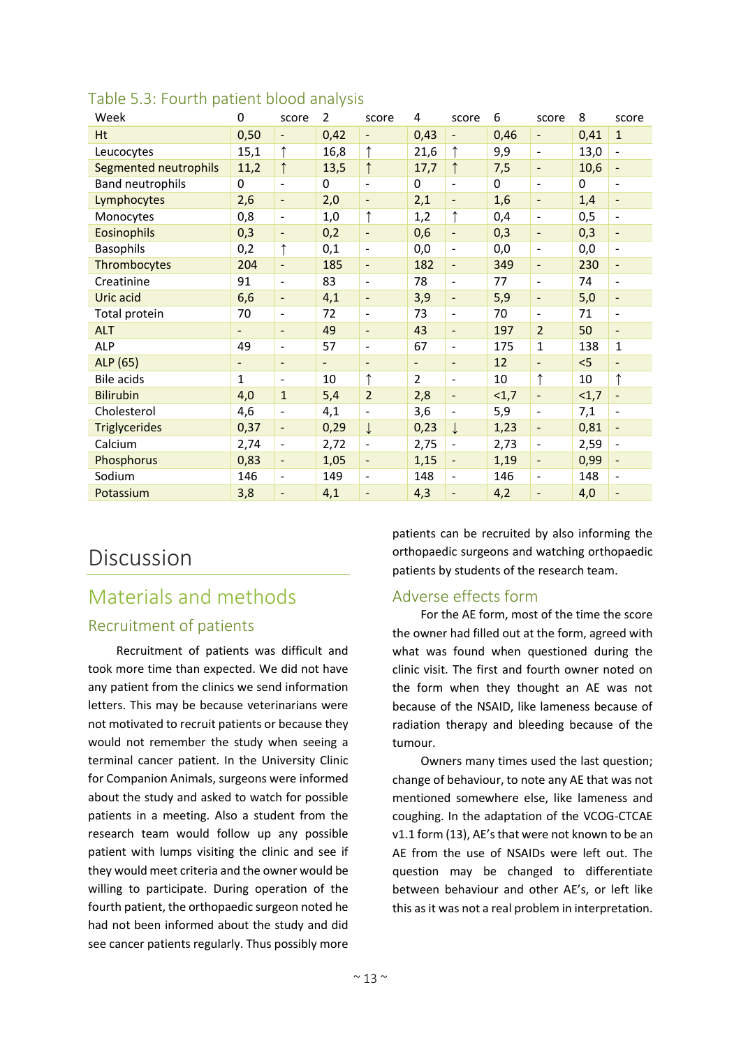| Week                    | 0                        | score                    | $\overline{2}$ | score                        | 4              | score                        | 6    | score                        | 8        | score                        |
|-------------------------|--------------------------|--------------------------|----------------|------------------------------|----------------|------------------------------|------|------------------------------|----------|------------------------------|
| Ht                      | 0,50                     | $\overline{\phantom{0}}$ | 0,42           | $\overline{\phantom{a}}$     | 0,43           | $\qquad \qquad \blacksquare$ | 0,46 | $\overline{\phantom{a}}$     | 0,41     | $\mathbf{1}$                 |
| Leucocytes              | 15,1                     | ↑                        | 16,8           |                              | 21,6           | $\uparrow$                   | 9,9  | $\blacksquare$               | 13,0     | $\blacksquare$               |
| Segmented neutrophils   | 11,2                     | $\uparrow$               | 13,5           |                              | 17,7           | $\uparrow$                   | 7,5  | $\overline{\phantom{a}}$     | 10,6     | $\blacksquare$               |
| <b>Band neutrophils</b> | 0                        | $\blacksquare$           | $\mathbf 0$    | $\overline{\phantom{0}}$     | $\Omega$       | $\overline{\phantom{a}}$     | 0    | $\overline{\phantom{a}}$     | $\Omega$ | $\overline{\phantom{a}}$     |
| Lymphocytes             | 2,6                      | $\overline{\phantom{0}}$ | 2,0            | $\overline{\phantom{a}}$     | 2,1            | $\blacksquare$               | 1,6  | $\overline{\phantom{a}}$     | 1,4      | $\qquad \qquad \blacksquare$ |
| Monocytes               | 0,8                      | $\overline{\phantom{a}}$ | 1,0            | $\uparrow$                   | 1,2            | $\uparrow$                   | 0,4  | $\overline{\phantom{a}}$     | 0,5      | $\overline{\phantom{a}}$     |
| Eosinophils             | 0,3                      | $\overline{\phantom{a}}$ | 0,2            | $\blacksquare$               | 0,6            | $\blacksquare$               | 0,3  | $\frac{1}{2}$                | 0,3      | $\overline{\phantom{a}}$     |
| <b>Basophils</b>        | 0,2                      | $\uparrow$               | 0,1            | $\overline{\phantom{0}}$     | 0,0            | $\blacksquare$               | 0,0  | $\overline{a}$               | 0,0      | $\blacksquare$               |
| Thrombocytes            | 204                      | $\equiv$                 | 185            | $\frac{1}{2}$                | 182            | $\Box$                       | 349  | $\blacksquare$               | 230      | $\qquad \qquad -$            |
| Creatinine              | 91                       | $\blacksquare$           | 83             | $\overline{\phantom{m}}$     | 78             | $\overline{\phantom{a}}$     | 77   | $\blacksquare$               | 74       | $\overline{\phantom{a}}$     |
| Uric acid               | 6,6                      | $\overline{\phantom{a}}$ | 4,1            | $\overline{\phantom{0}}$     | 3,9            | $\blacksquare$               | 5,9  | $\overline{\phantom{a}}$     | 5,0      | $\qquad \qquad \blacksquare$ |
| Total protein           | 70                       | $\blacksquare$           | 72             | $\overline{\phantom{m}}$     | 73             | $\overline{\phantom{a}}$     | 70   | $\blacksquare$               | 71       | $\qquad \qquad \blacksquare$ |
| <b>ALT</b>              | $\overline{\phantom{a}}$ | $\overline{\phantom{a}}$ | 49             | $\overline{\phantom{0}}$     | 43             | $\blacksquare$               | 197  | $\overline{2}$               | 50       | $\overline{\phantom{a}}$     |
| <b>ALP</b>              | 49                       | $\blacksquare$           | 57             | $\qquad \qquad \blacksquare$ | 67             | $\overline{\phantom{a}}$     | 175  | $\mathbf 1$                  | 138      | 1                            |
| ALP (65)                | $\overline{\phantom{a}}$ | $\overline{\phantom{a}}$ | $\blacksquare$ | $\overline{\phantom{0}}$     | $\blacksquare$ | $\overline{\phantom{a}}$     | 12   | $\overline{\phantom{a}}$     | < 5      | ÷,                           |
| Bile acids              | 1                        | $\overline{\phantom{a}}$ | 10             | $\uparrow$                   | $\overline{2}$ | $\overline{\phantom{a}}$     | 10   | ↑                            | $10\,$   | $\uparrow$                   |
| <b>Bilirubin</b>        | 4,0                      | $\mathbf{1}$             | 5,4            | $\overline{2}$               | 2,8            | $\blacksquare$               | <1,7 | $\overline{\phantom{a}}$     | <1,7     | $\qquad \qquad \blacksquare$ |
| Cholesterol             | 4,6                      | $\overline{\phantom{a}}$ | 4,1            | $\overline{a}$               | 3,6            | $\blacksquare$               | 5,9  | $\blacksquare$               | 7,1      | ÷,                           |
| <b>Triglycerides</b>    | 0,37                     | $\overline{\phantom{a}}$ | 0,29           | $\downarrow$                 | 0,23           | $\downarrow$                 | 1,23 | $\qquad \qquad \blacksquare$ | 0,81     | $\qquad \qquad \blacksquare$ |
| Calcium                 | 2,74                     | $\overline{\phantom{a}}$ | 2,72           | ÷,                           | 2,75           | $\blacksquare$               | 2,73 | $\blacksquare$               | 2,59     | $\blacksquare$               |
| Phosphorus              | 0,83                     | $\overline{\phantom{a}}$ | 1,05           | $\overline{\phantom{0}}$     | 1,15           | $\qquad \qquad \blacksquare$ | 1,19 | $\overline{\phantom{a}}$     | 0,99     | $\qquad \qquad -$            |
| Sodium                  | 146                      | $\overline{\phantom{a}}$ | 149            | $\frac{1}{2}$                | 148            | $\overline{\phantom{a}}$     | 146  | $\overline{\phantom{a}}$     | 148      | $\overline{\phantom{a}}$     |
| Potassium               | 3,8                      | Ξ.                       | 4,1            | $\qquad \qquad -$            | 4,3            | $\overline{\phantom{a}}$     | 4,2  | $\overline{\phantom{a}}$     | 4,0      | $\overline{\phantom{0}}$     |

#### Table 5.3: Fourth patient blood analysis

# Discussion

# Materials and methods Recruitment of patients

Recruitment of patients was difficult and took more time than expected. We did not have any patient from the clinics we send information letters. This may be because veterinarians were not motivated to recruit patients or because they would not remember the study when seeing a terminal cancer patient. In the University Clinic for Companion Animals, surgeons were informed about the study and asked to watch for possible patients in a meeting. Also a student from the research team would follow up any possible patient with lumps visiting the clinic and see if they would meet criteria and the owner would be willing to participate. During operation of the fourth patient, the orthopaedic surgeon noted he had not been informed about the study and did see cancer patients regularly. Thus possibly more

patients can be recruited by also informing the orthopaedic surgeons and watching orthopaedic patients by students of the research team.

#### Adverse effects form

For the AE form, most of the time the score the owner had filled out at the form, agreed with what was found when questioned during the clinic visit. The first and fourth owner noted on the form when they thought an AE was not because of the NSAID, like lameness because of radiation therapy and bleeding because of the tumour.

Owners many times used the last question; change of behaviour, to note any AE that was not mentioned somewhere else, like lameness and coughing. In the adaptation of the VCOG-CTCAE v1.1 form (13), AE's that were not known to be an AE from the use of NSAIDs were left out. The question may be changed to differentiate between behaviour and other AE's, or left like this as it was not a real problem in interpretation.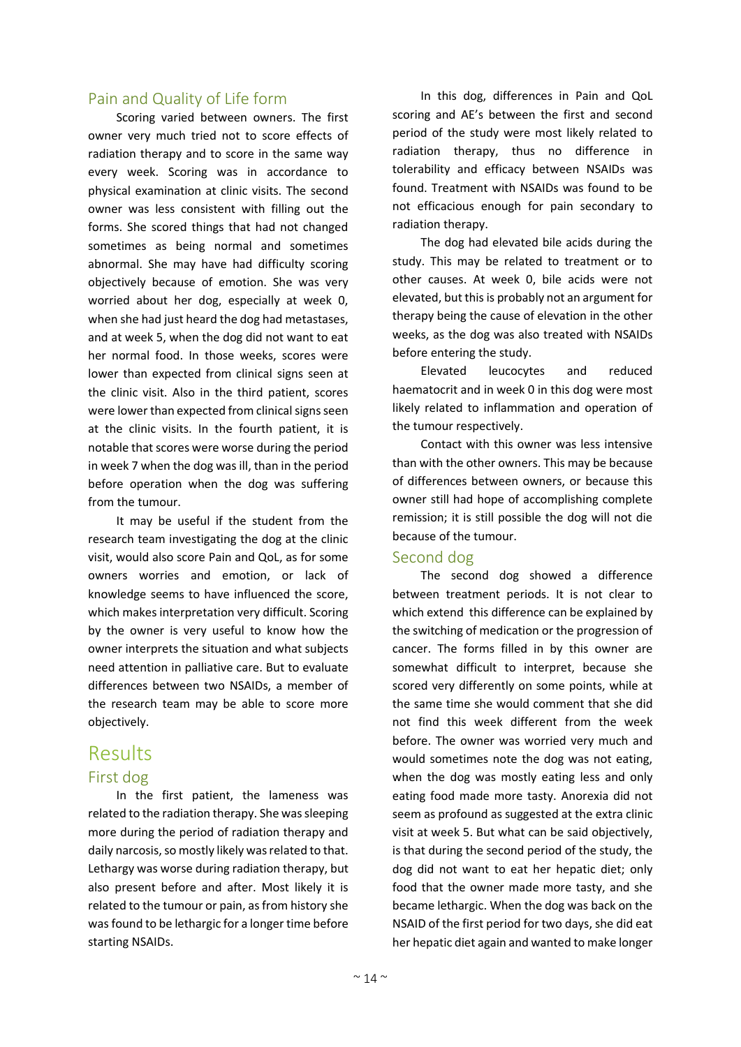#### Pain and Quality of Life form

Scoring varied between owners. The first owner very much tried not to score effects of radiation therapy and to score in the same way every week. Scoring was in accordance to physical examination at clinic visits. The second owner was less consistent with filling out the forms. She scored things that had not changed sometimes as being normal and sometimes abnormal. She may have had difficulty scoring objectively because of emotion. She was very worried about her dog, especially at week 0, when she had just heard the dog had metastases, and at week 5, when the dog did not want to eat her normal food. In those weeks, scores were lower than expected from clinical signs seen at the clinic visit. Also in the third patient, scores were lower than expected from clinical signs seen at the clinic visits. In the fourth patient, it is notable that scores were worse during the period in week 7 when the dog was ill, than in the period before operation when the dog was suffering from the tumour.

It may be useful if the student from the research team investigating the dog at the clinic visit, would also score Pain and QoL, as for some owners worries and emotion, or lack of knowledge seems to have influenced the score, which makes interpretation very difficult. Scoring by the owner is very useful to know how the owner interprets the situation and what subjects need attention in palliative care. But to evaluate differences between two NSAIDs, a member of the research team may be able to score more objectively.

### Results

#### First dog

In the first patient, the lameness was related to the radiation therapy. She was sleeping more during the period of radiation therapy and daily narcosis, so mostly likely was related to that. Lethargy was worse during radiation therapy, but also present before and after. Most likely it is related to the tumour or pain, as from history she was found to be lethargic for a longer time before starting NSAIDs.

In this dog, differences in Pain and QoL scoring and AE's between the first and second period of the study were most likely related to radiation therapy, thus no difference in tolerability and efficacy between NSAIDs was found. Treatment with NSAIDs was found to be not efficacious enough for pain secondary to radiation therapy.

The dog had elevated bile acids during the study. This may be related to treatment or to other causes. At week 0, bile acids were not elevated, but this is probably not an argument for therapy being the cause of elevation in the other weeks, as the dog was also treated with NSAIDs before entering the study.

Elevated leucocytes and reduced haematocrit and in week 0 in this dog were most likely related to inflammation and operation of the tumour respectively.

Contact with this owner was less intensive than with the other owners. This may be because of differences between owners, or because this owner still had hope of accomplishing complete remission; it is still possible the dog will not die because of the tumour.

#### Second dog

The second dog showed a difference between treatment periods. It is not clear to which extend this difference can be explained by the switching of medication or the progression of cancer. The forms filled in by this owner are somewhat difficult to interpret, because she scored very differently on some points, while at the same time she would comment that she did not find this week different from the week before. The owner was worried very much and would sometimes note the dog was not eating, when the dog was mostly eating less and only eating food made more tasty. Anorexia did not seem as profound as suggested at the extra clinic visit at week 5. But what can be said objectively, is that during the second period of the study, the dog did not want to eat her hepatic diet; only food that the owner made more tasty, and she became lethargic. When the dog was back on the NSAID of the first period for two days, she did eat her hepatic diet again and wanted to make longer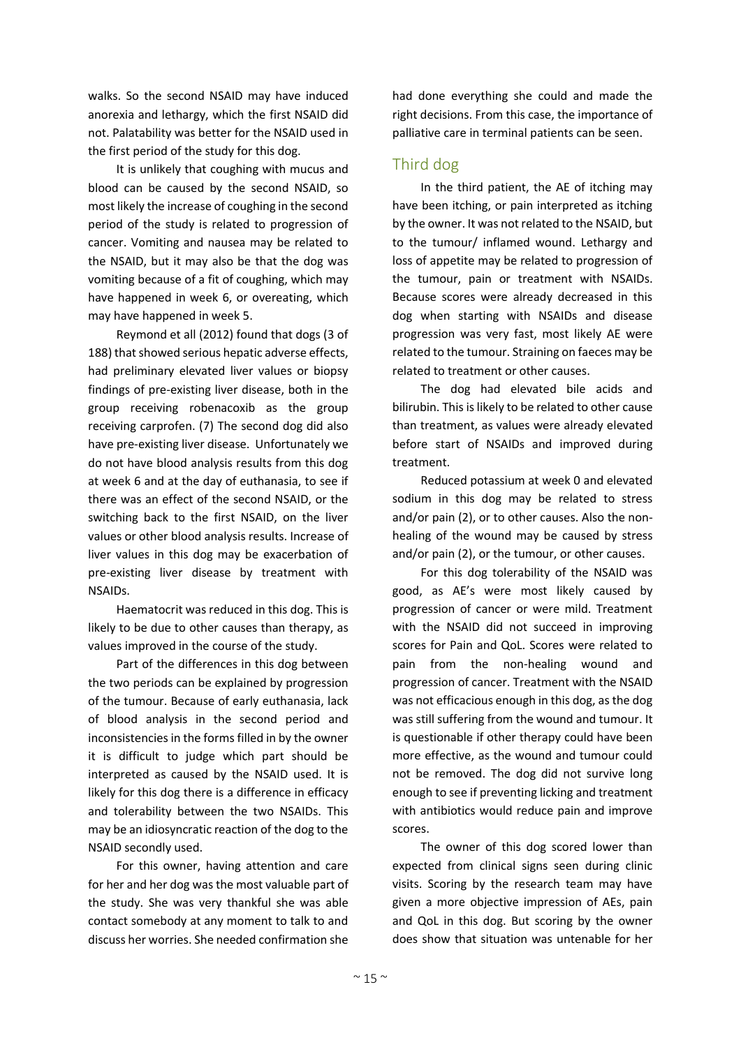walks. So the second NSAID may have induced anorexia and lethargy, which the first NSAID did not. Palatability was better for the NSAID used in the first period of the study for this dog.

It is unlikely that coughing with mucus and blood can be caused by the second NSAID, so most likely the increase of coughing in the second period of the study is related to progression of cancer. Vomiting and nausea may be related to the NSAID, but it may also be that the dog was vomiting because of a fit of coughing, which may have happened in week 6, or overeating, which may have happened in week 5.

Reymond et all (2012) found that dogs (3 of 188) that showed serious hepatic adverse effects, had preliminary elevated liver values or biopsy findings of pre-existing liver disease, both in the group receiving robenacoxib as the group receiving carprofen. (7) The second dog did also have pre-existing liver disease. Unfortunately we do not have blood analysis results from this dog at week 6 and at the day of euthanasia, to see if there was an effect of the second NSAID, or the switching back to the first NSAID, on the liver values or other blood analysis results. Increase of liver values in this dog may be exacerbation of pre-existing liver disease by treatment with NSAIDs.

Haematocrit was reduced in this dog. This is likely to be due to other causes than therapy, as values improved in the course of the study.

Part of the differences in this dog between the two periods can be explained by progression of the tumour. Because of early euthanasia, lack of blood analysis in the second period and inconsistencies in the forms filled in by the owner it is difficult to judge which part should be interpreted as caused by the NSAID used. It is likely for this dog there is a difference in efficacy and tolerability between the two NSAIDs. This may be an idiosyncratic reaction of the dog to the NSAID secondly used.

For this owner, having attention and care for her and her dog was the most valuable part of the study. She was very thankful she was able contact somebody at any moment to talk to and discuss her worries. She needed confirmation she

had done everything she could and made the right decisions. From this case, the importance of palliative care in terminal patients can be seen.

#### Third dog

In the third patient, the AE of itching may have been itching, or pain interpreted as itching by the owner. It was not related to the NSAID, but to the tumour/ inflamed wound. Lethargy and loss of appetite may be related to progression of the tumour, pain or treatment with NSAIDs. Because scores were already decreased in this dog when starting with NSAIDs and disease progression was very fast, most likely AE were related to the tumour. Straining on faeces may be related to treatment or other causes.

The dog had elevated bile acids and bilirubin. This is likely to be related to other cause than treatment, as values were already elevated before start of NSAIDs and improved during treatment.

Reduced potassium at week 0 and elevated sodium in this dog may be related to stress and/or pain (2), or to other causes. Also the nonhealing of the wound may be caused by stress and/or pain (2), or the tumour, or other causes.

For this dog tolerability of the NSAID was good, as AE's were most likely caused by progression of cancer or were mild. Treatment with the NSAID did not succeed in improving scores for Pain and QoL. Scores were related to pain from the non-healing wound and progression of cancer. Treatment with the NSAID was not efficacious enough in this dog, as the dog was still suffering from the wound and tumour. It is questionable if other therapy could have been more effective, as the wound and tumour could not be removed. The dog did not survive long enough to see if preventing licking and treatment with antibiotics would reduce pain and improve scores.

The owner of this dog scored lower than expected from clinical signs seen during clinic visits. Scoring by the research team may have given a more objective impression of AEs, pain and QoL in this dog. But scoring by the owner does show that situation was untenable for her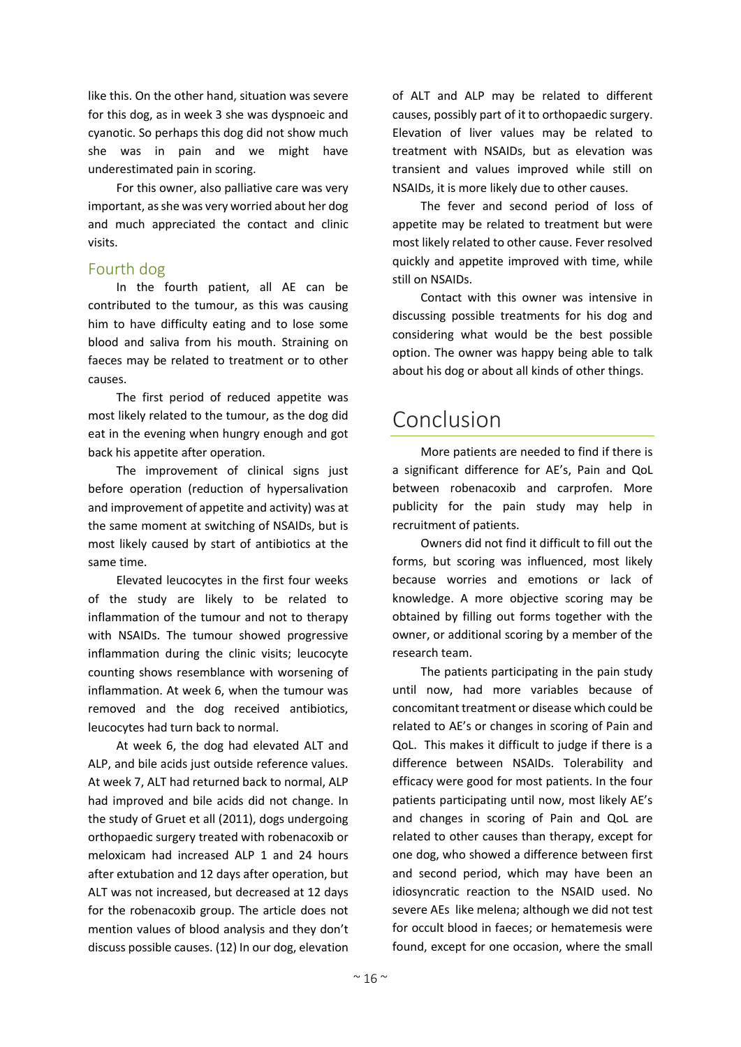like this. On the other hand, situation was severe for this dog, as in week 3 she was dyspnoeic and cyanotic. So perhaps this dog did not show much she was in pain and we might have underestimated pain in scoring.

For this owner, also palliative care was very important, as she was very worried about her dog and much appreciated the contact and clinic visits.

#### Fourth dog

In the fourth patient, all AE can be contributed to the tumour, as this was causing him to have difficulty eating and to lose some blood and saliva from his mouth. Straining on faeces may be related to treatment or to other causes.

The first period of reduced appetite was most likely related to the tumour, as the dog did eat in the evening when hungry enough and got back his appetite after operation.

The improvement of clinical signs just before operation (reduction of hypersalivation and improvement of appetite and activity) was at the same moment at switching of NSAIDs, but is most likely caused by start of antibiotics at the same time.

Elevated leucocytes in the first four weeks of the study are likely to be related to inflammation of the tumour and not to therapy with NSAIDs. The tumour showed progressive inflammation during the clinic visits; leucocyte counting shows resemblance with worsening of inflammation. At week 6, when the tumour was removed and the dog received antibiotics, leucocytes had turn back to normal.

At week 6, the dog had elevated ALT and ALP, and bile acids just outside reference values. At week 7, ALT had returned back to normal, ALP had improved and bile acids did not change. In the study of Gruet et all (2011), dogs undergoing orthopaedic surgery treated with robenacoxib or meloxicam had increased ALP 1 and 24 hours after extubation and 12 days after operation, but ALT was not increased, but decreased at 12 days for the robenacoxib group. The article does not mention values of blood analysis and they don't discuss possible causes. (12) In our dog, elevation

of ALT and ALP may be related to different causes, possibly part of it to orthopaedic surgery. Elevation of liver values may be related to treatment with NSAIDs, but as elevation was transient and values improved while still on NSAIDs, it is more likely due to other causes.

The fever and second period of loss of appetite may be related to treatment but were most likely related to other cause. Fever resolved quickly and appetite improved with time, while still on NSAIDs.

Contact with this owner was intensive in discussing possible treatments for his dog and considering what would be the best possible option. The owner was happy being able to talk about his dog or about all kinds of other things.

# Conclusion

More patients are needed to find if there is a significant difference for AE's, Pain and QoL between robenacoxib and carprofen. More publicity for the pain study may help in recruitment of patients.

Owners did not find it difficult to fill out the forms, but scoring was influenced, most likely because worries and emotions or lack of knowledge. A more objective scoring may be obtained by filling out forms together with the owner, or additional scoring by a member of the research team.

The patients participating in the pain study until now, had more variables because of concomitant treatment or disease which could be related to AE's or changes in scoring of Pain and QoL. This makes it difficult to judge if there is a difference between NSAIDs. Tolerability and efficacy were good for most patients. In the four patients participating until now, most likely AE's and changes in scoring of Pain and QoL are related to other causes than therapy, except for one dog, who showed a difference between first and second period, which may have been an idiosyncratic reaction to the NSAID used. No severe AEs like melena; although we did not test for occult blood in faeces; or hematemesis were found, except for one occasion, where the small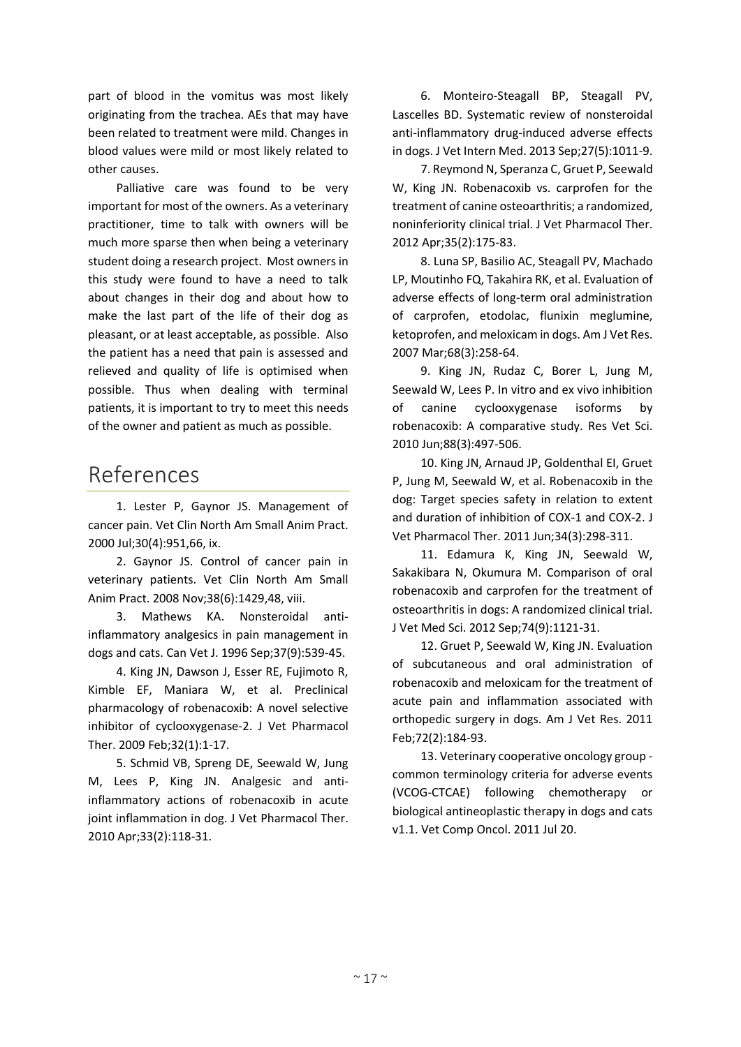part of blood in the vomitus was most likely originating from the trachea. AEs that may have been related to treatment were mild. Changes in blood values were mild or most likely related to other causes.

Palliative care was found to be very important for most of the owners. As a veterinary practitioner, time to talk with owners will be much more sparse then when being a veterinary student doing a research project. Most owners in this study were found to have a need to talk about changes in their dog and about how to make the last part of the life of their dog as pleasant, or at least acceptable, as possible. Also the patient has a need that pain is assessed and relieved and quality of life is optimised when possible. Thus when dealing with terminal patients, it is important to try to meet this needs of the owner and patient as much as possible.

## References

1. Lester P, Gaynor JS. Management of cancer pain. Vet Clin North Am Small Anim Pract. 2000 Jul;30(4):951,66, ix.

2. Gaynor JS. Control of cancer pain in veterinary patients. Vet Clin North Am Small Anim Pract. 2008 Nov;38(6):1429,48, viii.

3. Mathews KA. Nonsteroidal antiinflammatory analgesics in pain management in dogs and cats. Can Vet J. 1996 Sep;37(9):539-45.

4. King JN, Dawson J, Esser RE, Fujimoto R, Kimble EF, Maniara W, et al. Preclinical pharmacology of robenacoxib: A novel selective inhibitor of cyclooxygenase-2. J Vet Pharmacol Ther. 2009 Feb;32(1):1-17.

5. Schmid VB, Spreng DE, Seewald W, Jung M, Lees P, King JN. Analgesic and antiinflammatory actions of robenacoxib in acute joint inflammation in dog. J Vet Pharmacol Ther. 2010 Apr;33(2):118-31.

6. Monteiro-Steagall BP, Steagall PV, Lascelles BD. Systematic review of nonsteroidal anti-inflammatory drug-induced adverse effects in dogs. J Vet Intern Med. 2013 Sep;27(5):1011-9.

7. Reymond N, Speranza C, Gruet P, Seewald W, King JN. Robenacoxib vs. carprofen for the treatment of canine osteoarthritis; a randomized, noninferiority clinical trial. J Vet Pharmacol Ther. 2012 Apr;35(2):175-83.

8. Luna SP, Basilio AC, Steagall PV, Machado LP, Moutinho FQ, Takahira RK, et al. Evaluation of adverse effects of long-term oral administration of carprofen, etodolac, flunixin meglumine, ketoprofen, and meloxicam in dogs. Am J Vet Res. 2007 Mar;68(3):258-64.

9. King JN, Rudaz C, Borer L, Jung M, Seewald W, Lees P. In vitro and ex vivo inhibition of canine cyclooxygenase isoforms by robenacoxib: A comparative study. Res Vet Sci. 2010 Jun;88(3):497-506.

10. King JN, Arnaud JP, Goldenthal EI, Gruet P, Jung M, Seewald W, et al. Robenacoxib in the dog: Target species safety in relation to extent and duration of inhibition of COX-1 and COX-2. J Vet Pharmacol Ther. 2011 Jun;34(3):298-311.

11. Edamura K, King JN, Seewald W, Sakakibara N, Okumura M. Comparison of oral robenacoxib and carprofen for the treatment of osteoarthritis in dogs: A randomized clinical trial. J Vet Med Sci. 2012 Sep;74(9):1121-31.

12. Gruet P, Seewald W, King JN. Evaluation of subcutaneous and oral administration of robenacoxib and meloxicam for the treatment of acute pain and inflammation associated with orthopedic surgery in dogs. Am J Vet Res. 2011 Feb;72(2):184-93.

13. Veterinary cooperative oncology group common terminology criteria for adverse events (VCOG-CTCAE) following chemotherapy or biological antineoplastic therapy in dogs and cats v1.1. Vet Comp Oncol. 2011 Jul 20.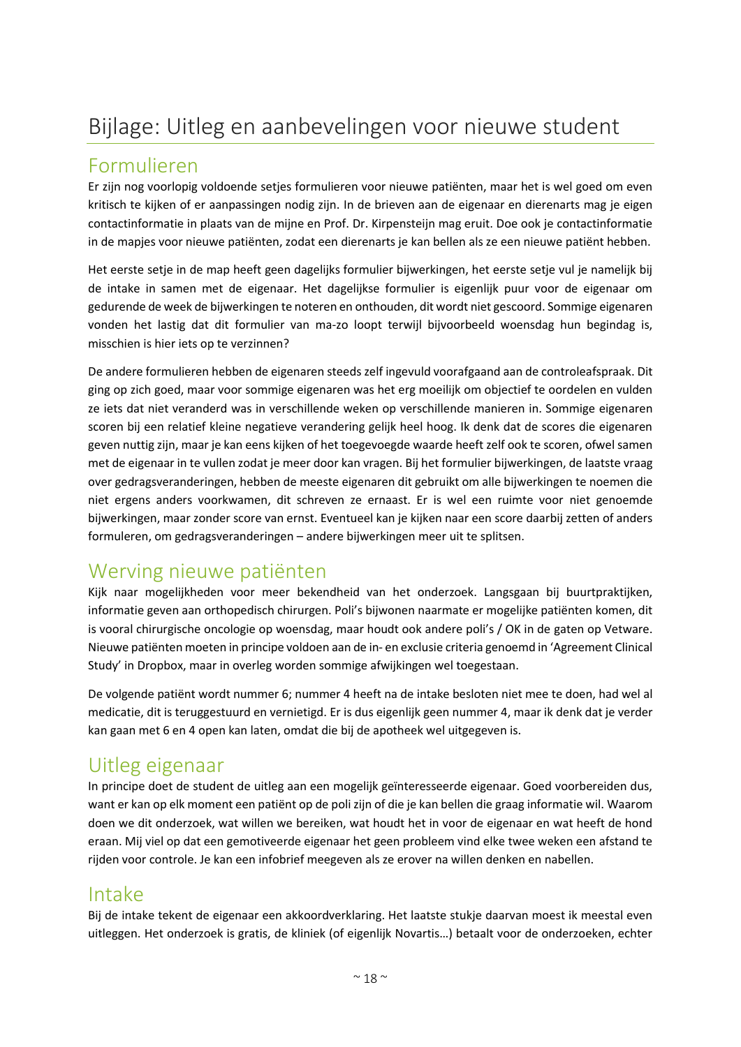# Bijlage: Uitleg en aanbevelingen voor nieuwe student

## Formulieren

Er zijn nog voorlopig voldoende setjes formulieren voor nieuwe patiënten, maar het is wel goed om even kritisch te kijken of er aanpassingen nodig zijn. In de brieven aan de eigenaar en dierenarts mag je eigen contactinformatie in plaats van de mijne en Prof. Dr. Kirpensteijn mag eruit. Doe ook je contactinformatie in de mapjes voor nieuwe patiënten, zodat een dierenarts je kan bellen als ze een nieuwe patiënt hebben.

Het eerste setje in de map heeft geen dagelijks formulier bijwerkingen, het eerste setje vul je namelijk bij de intake in samen met de eigenaar. Het dagelijkse formulier is eigenlijk puur voor de eigenaar om gedurende de week de bijwerkingen te noteren en onthouden, dit wordt niet gescoord. Sommige eigenaren vonden het lastig dat dit formulier van ma-zo loopt terwijl bijvoorbeeld woensdag hun begindag is, misschien is hier iets op te verzinnen?

De andere formulieren hebben de eigenaren steeds zelf ingevuld voorafgaand aan de controleafspraak. Dit ging op zich goed, maar voor sommige eigenaren was het erg moeilijk om objectief te oordelen en vulden ze iets dat niet veranderd was in verschillende weken op verschillende manieren in. Sommige eigenaren scoren bij een relatief kleine negatieve verandering gelijk heel hoog. Ik denk dat de scores die eigenaren geven nuttig zijn, maar je kan eens kijken of het toegevoegde waarde heeft zelf ook te scoren, ofwel samen met de eigenaar in te vullen zodat je meer door kan vragen. Bij het formulier bijwerkingen, de laatste vraag over gedragsveranderingen, hebben de meeste eigenaren dit gebruikt om alle bijwerkingen te noemen die niet ergens anders voorkwamen, dit schreven ze ernaast. Er is wel een ruimte voor niet genoemde bijwerkingen, maar zonder score van ernst. Eventueel kan je kijken naar een score daarbij zetten of anders formuleren, om gedragsveranderingen – andere bijwerkingen meer uit te splitsen.

## Werving nieuwe patiënten

Kijk naar mogelijkheden voor meer bekendheid van het onderzoek. Langsgaan bij buurtpraktijken, informatie geven aan orthopedisch chirurgen. Poli's bijwonen naarmate er mogelijke patiënten komen, dit is vooral chirurgische oncologie op woensdag, maar houdt ook andere poli's / OK in de gaten op Vetware. Nieuwe patiënten moeten in principe voldoen aan de in- en exclusie criteria genoemd in 'Agreement Clinical Study' in Dropbox, maar in overleg worden sommige afwijkingen wel toegestaan.

De volgende patiënt wordt nummer 6; nummer 4 heeft na de intake besloten niet mee te doen, had wel al medicatie, dit is teruggestuurd en vernietigd. Er is dus eigenlijk geen nummer 4, maar ik denk dat je verder kan gaan met 6 en 4 open kan laten, omdat die bij de apotheek wel uitgegeven is.

## Uitleg eigenaar

In principe doet de student de uitleg aan een mogelijk geïnteresseerde eigenaar. Goed voorbereiden dus, want er kan op elk moment een patiënt op de poli zijn of die je kan bellen die graag informatie wil. Waarom doen we dit onderzoek, wat willen we bereiken, wat houdt het in voor de eigenaar en wat heeft de hond eraan. Mij viel op dat een gemotiveerde eigenaar het geen probleem vind elke twee weken een afstand te rijden voor controle. Je kan een infobrief meegeven als ze erover na willen denken en nabellen.

### Intake

Bij de intake tekent de eigenaar een akkoordverklaring. Het laatste stukje daarvan moest ik meestal even uitleggen. Het onderzoek is gratis, de kliniek (of eigenlijk Novartis…) betaalt voor de onderzoeken, echter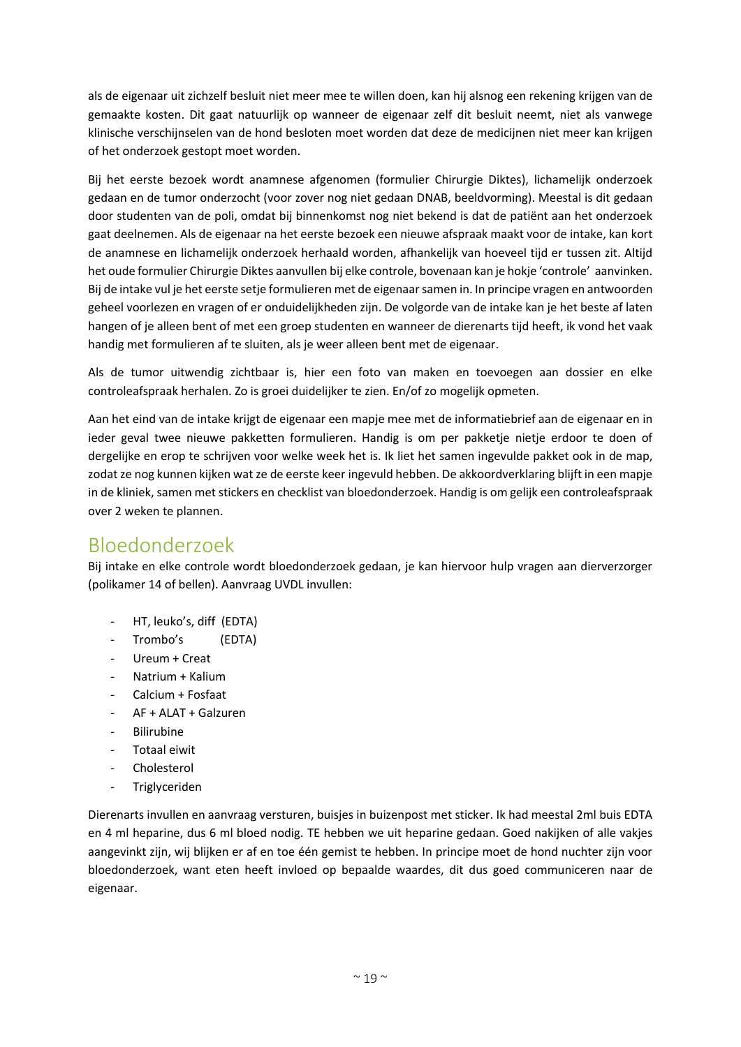als de eigenaar uit zichzelf besluit niet meer mee te willen doen, kan hij alsnog een rekening krijgen van de gemaakte kosten. Dit gaat natuurlijk op wanneer de eigenaar zelf dit besluit neemt, niet als vanwege klinische verschijnselen van de hond besloten moet worden dat deze de medicijnen niet meer kan krijgen of het onderzoek gestopt moet worden.

Bij het eerste bezoek wordt anamnese afgenomen (formulier Chirurgie Diktes), lichamelijk onderzoek gedaan en de tumor onderzocht (voor zover nog niet gedaan DNAB, beeldvorming). Meestal is dit gedaan door studenten van de poli, omdat bij binnenkomst nog niet bekend is dat de patiënt aan het onderzoek gaat deelnemen. Als de eigenaar na het eerste bezoek een nieuwe afspraak maakt voor de intake, kan kort de anamnese en lichamelijk onderzoek herhaald worden, afhankelijk van hoeveel tijd er tussen zit. Altijd het oude formulier Chirurgie Diktes aanvullen bij elke controle, bovenaan kan je hokje 'controle' aanvinken. Bij de intake vul je het eerste setje formulieren met de eigenaar samen in. In principe vragen en antwoorden geheel voorlezen en vragen of er onduidelijkheden zijn. De volgorde van de intake kan je het beste af laten hangen of je alleen bent of met een groep studenten en wanneer de dierenarts tijd heeft, ik vond het vaak handig met formulieren af te sluiten, als je weer alleen bent met de eigenaar.

Als de tumor uitwendig zichtbaar is, hier een foto van maken en toevoegen aan dossier en elke controleafspraak herhalen. Zo is groei duidelijker te zien. En/of zo mogelijk opmeten.

Aan het eind van de intake krijgt de eigenaar een mapje mee met de informatiebrief aan de eigenaar en in ieder geval twee nieuwe pakketten formulieren. Handig is om per pakketje nietje erdoor te doen of dergelijke en erop te schrijven voor welke week het is. Ik liet het samen ingevulde pakket ook in de map, zodat ze nog kunnen kijken wat ze de eerste keer ingevuld hebben. De akkoordverklaring blijft in een mapje in de kliniek, samen met stickers en checklist van bloedonderzoek. Handig is om gelijk een controleafspraak over 2 weken te plannen.

### Bloedonderzoek

Bij intake en elke controle wordt bloedonderzoek gedaan, je kan hiervoor hulp vragen aan dierverzorger (polikamer 14 of bellen). Aanvraag UVDL invullen:

- HT, leuko's, diff (EDTA)
- Trombo's (EDTA)
- Ureum + Creat
- Natrium + Kalium
- Calcium + Fosfaat
- AF + ALAT + Galzuren
- **Bilirubine**
- Totaal eiwit
- Cholesterol
- Triglyceriden

Dierenarts invullen en aanvraag versturen, buisjes in buizenpost met sticker. Ik had meestal 2ml buis EDTA en 4 ml heparine, dus 6 ml bloed nodig. TE hebben we uit heparine gedaan. Goed nakijken of alle vakjes aangevinkt zijn, wij blijken er af en toe één gemist te hebben. In principe moet de hond nuchter zijn voor bloedonderzoek, want eten heeft invloed op bepaalde waardes, dit dus goed communiceren naar de eigenaar.